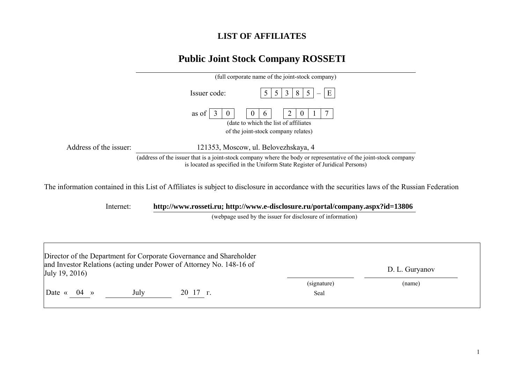## **LIST OF AFFILIATES**

## **Public Joint Stock Company ROSSETI**

|                                                                                                                                                | (full corporate name of the joint-stock company)                                                                                                                                                |  |  |  |  |  |  |  |
|------------------------------------------------------------------------------------------------------------------------------------------------|-------------------------------------------------------------------------------------------------------------------------------------------------------------------------------------------------|--|--|--|--|--|--|--|
|                                                                                                                                                | E<br>3<br>8<br>Issuer code:<br>5<br>$\mathcal{L}$                                                                                                                                               |  |  |  |  |  |  |  |
|                                                                                                                                                | 7<br>as of<br>$\theta$<br>$\sigma$<br>O<br>(date to which the list of affiliates)<br>of the joint-stock company relates)                                                                        |  |  |  |  |  |  |  |
|                                                                                                                                                |                                                                                                                                                                                                 |  |  |  |  |  |  |  |
| Address of the issuer:                                                                                                                         | 121353, Moscow, ul. Belovezhskaya, 4                                                                                                                                                            |  |  |  |  |  |  |  |
|                                                                                                                                                | (address of the issuer that is a joint-stock company where the body or representative of the joint-stock company<br>is located as specified in the Uniform State Register of Juridical Persons) |  |  |  |  |  |  |  |
| The information contained in this List of Affiliates is subject to disclosure in accordance with the securities laws of the Russian Federation |                                                                                                                                                                                                 |  |  |  |  |  |  |  |
| http://www.rosseti.ru; http://www.e-disclosure.ru/portal/company.aspx?id=13806<br>Internet:                                                    |                                                                                                                                                                                                 |  |  |  |  |  |  |  |

(webpage used by the issuer for disclosure of information)

| July 19, 2016)            |      | Director of the Department for Corporate Governance and Shareholder<br>and Investor Relations (acting under Power of Attorney No. 148-16 of |                     | D. L. Guryanov |
|---------------------------|------|---------------------------------------------------------------------------------------------------------------------------------------------|---------------------|----------------|
| Date $\langle 04 \rangle$ | July | $20 \t17 \t$ .                                                                                                                              | (signature)<br>Seal | (name)         |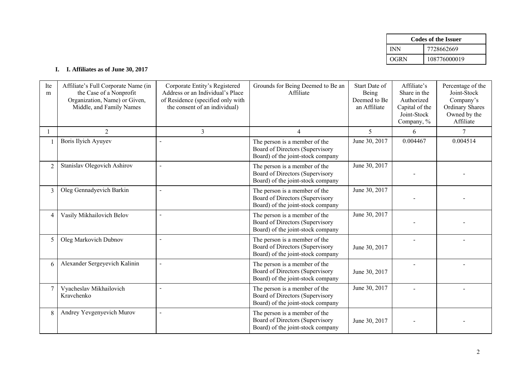| <b>Codes of the Issuer</b> |              |  |  |
|----------------------------|--------------|--|--|
| INN                        | 7728662669   |  |  |
| OGRN                       | 108776000019 |  |  |

## **I. I. Affiliates as of June 30, 2017**

| Ite<br>m       | Affiliate's Full Corporate Name (in<br>the Case of a Nonprofit<br>Organization, Name) or Given,<br>Middle, and Family Names | Corporate Entity's Registered<br>Address or an Individual's Place<br>of Residence (specified only with<br>the consent of an individual) | Grounds for Being Deemed to Be an<br>Affiliate                                                        | Start Date of<br>Being<br>Deemed to Be<br>an Affiliate | Affiliate's<br>Share in the<br>Authorized<br>Capital of the<br>Joint-Stock<br>Company, % | Percentage of the<br>Joint-Stock<br>Company's<br><b>Ordinary Shares</b><br>Owned by the<br>Affiliate |
|----------------|-----------------------------------------------------------------------------------------------------------------------------|-----------------------------------------------------------------------------------------------------------------------------------------|-------------------------------------------------------------------------------------------------------|--------------------------------------------------------|------------------------------------------------------------------------------------------|------------------------------------------------------------------------------------------------------|
|                | 2                                                                                                                           | $\overline{3}$                                                                                                                          | $\overline{4}$                                                                                        | 5                                                      | 6                                                                                        | 7                                                                                                    |
|                | Boris Ilyich Ayuyev                                                                                                         | $\overline{a}$                                                                                                                          | The person is a member of the<br>Board of Directors (Supervisory<br>Board) of the joint-stock company | June 30, 2017                                          | 0.004467                                                                                 | 0.004514                                                                                             |
| $\overline{2}$ | Stanislav Olegovich Ashirov                                                                                                 | $\sim$                                                                                                                                  | The person is a member of the<br>Board of Directors (Supervisory<br>Board) of the joint-stock company | June 30, 2017                                          |                                                                                          |                                                                                                      |
| $\overline{3}$ | Oleg Gennadyevich Barkin                                                                                                    | $\overline{a}$                                                                                                                          | The person is a member of the<br>Board of Directors (Supervisory<br>Board) of the joint-stock company | June 30, 2017                                          |                                                                                          |                                                                                                      |
| 4              | Vasily Mikhailovich Belov                                                                                                   |                                                                                                                                         | The person is a member of the<br>Board of Directors (Supervisory<br>Board) of the joint-stock company | June 30, 2017                                          |                                                                                          |                                                                                                      |
| 5              | Oleg Markovich Dubnov                                                                                                       | $\overline{a}$                                                                                                                          | The person is a member of the<br>Board of Directors (Supervisory<br>Board) of the joint-stock company | June 30, 2017                                          |                                                                                          |                                                                                                      |
| 6              | Alexander Sergeyevich Kalinin                                                                                               | $\sim$                                                                                                                                  | The person is a member of the<br>Board of Directors (Supervisory<br>Board) of the joint-stock company | June 30, 2017                                          |                                                                                          |                                                                                                      |
| 7              | Vyacheslav Mikhailovich<br>Kravchenko                                                                                       |                                                                                                                                         | The person is a member of the<br>Board of Directors (Supervisory<br>Board) of the joint-stock company | June 30, 2017                                          |                                                                                          |                                                                                                      |
| 8              | Andrey Yevgenyevich Murov                                                                                                   | $\sim$                                                                                                                                  | The person is a member of the<br>Board of Directors (Supervisory<br>Board) of the joint-stock company | June 30, 2017                                          |                                                                                          |                                                                                                      |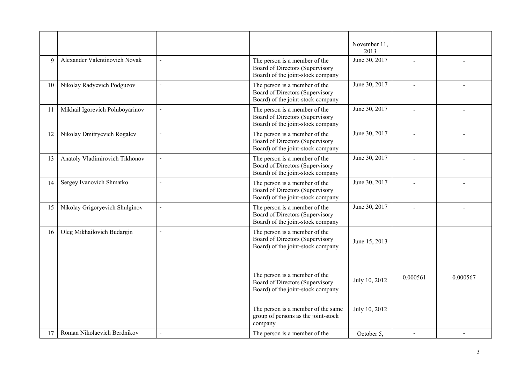|             |                                 |                |                                                                                                       | November 11,<br>2013 |          |          |
|-------------|---------------------------------|----------------|-------------------------------------------------------------------------------------------------------|----------------------|----------|----------|
| $\mathbf Q$ | Alexander Valentinovich Novak   | $\sim$         | The person is a member of the<br>Board of Directors (Supervisory<br>Board) of the joint-stock company | June 30, 2017        |          |          |
| 10          | Nikolay Radyevich Podguzov      | $\sim$         | The person is a member of the<br>Board of Directors (Supervisory<br>Board) of the joint-stock company | June 30, 2017        |          |          |
| 11          | Mikhail Igorevich Poluboyarinov | $\overline{a}$ | The person is a member of the<br>Board of Directors (Supervisory<br>Board) of the joint-stock company | June 30, 2017        |          |          |
| 12          | Nikolay Dmitryevich Rogalev     | $\blacksquare$ | The person is a member of the<br>Board of Directors (Supervisory<br>Board) of the joint-stock company | June 30, 2017        |          |          |
| 13          | Anatoly Vladimirovich Tikhonov  | $\sim$         | The person is a member of the<br>Board of Directors (Supervisory<br>Board) of the joint-stock company | June 30, 2017        |          |          |
| 14          | Sergey Ivanovich Shmatko        | $\overline{a}$ | The person is a member of the<br>Board of Directors (Supervisory<br>Board) of the joint-stock company | June 30, 2017        |          |          |
| 15          | Nikolay Grigoryevich Shulginov  | $\overline{a}$ | The person is a member of the<br>Board of Directors (Supervisory<br>Board) of the joint-stock company | June 30, 2017        |          |          |
| 16          | Oleg Mikhailovich Budargin      | $\sim$         | The person is a member of the<br>Board of Directors (Supervisory<br>Board) of the joint-stock company | June 15, 2013        |          |          |
|             |                                 |                | The person is a member of the<br>Board of Directors (Supervisory<br>Board) of the joint-stock company | July 10, 2012        | 0.000561 | 0.000567 |
|             |                                 |                | The person is a member of the same<br>group of persons as the joint-stock<br>company                  | July 10, 2012        |          |          |
| 17          | Roman Nikolaevich Berdnikov     |                | The person is a member of the                                                                         | October 5.           |          |          |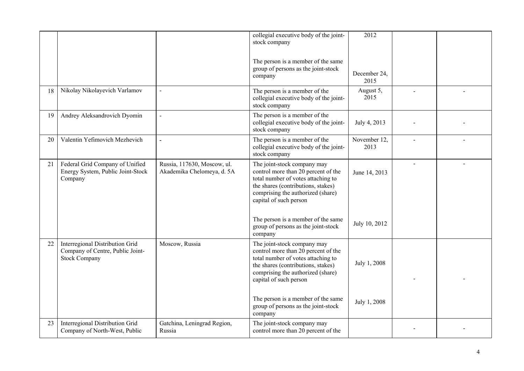|    |                                                                                             |                                                           | collegial executive body of the joint-<br>stock company                                                                                                                                                       | 2012                 |  |
|----|---------------------------------------------------------------------------------------------|-----------------------------------------------------------|---------------------------------------------------------------------------------------------------------------------------------------------------------------------------------------------------------------|----------------------|--|
|    |                                                                                             |                                                           | The person is a member of the same<br>group of persons as the joint-stock<br>company                                                                                                                          | December 24,<br>2015 |  |
| 18 | Nikolay Nikolayevich Varlamov                                                               | $\sim$                                                    | The person is a member of the<br>collegial executive body of the joint-<br>stock company                                                                                                                      | August 5,<br>2015    |  |
| 19 | Andrey Aleksandrovich Dyomin                                                                |                                                           | The person is a member of the<br>collegial executive body of the joint-<br>stock company                                                                                                                      | July 4, 2013         |  |
| 20 | Valentin Yefimovich Mezhevich                                                               |                                                           | The person is a member of the<br>collegial executive body of the joint-<br>stock company                                                                                                                      | November 12,<br>2013 |  |
| 21 | Federal Grid Company of Unified<br>Energy System, Public Joint-Stock<br>Company             | Russia, 117630, Moscow, ul.<br>Akademika Chelomeya, d. 5A | The joint-stock company may<br>control more than 20 percent of the<br>total number of votes attaching to<br>the shares (contributions, stakes)<br>comprising the authorized (share)<br>capital of such person | June 14, 2013        |  |
|    |                                                                                             |                                                           | The person is a member of the same<br>group of persons as the joint-stock<br>company                                                                                                                          | July 10, 2012        |  |
| 22 | Interregional Distribution Grid<br>Company of Centre, Public Joint-<br><b>Stock Company</b> | Moscow, Russia                                            | The joint-stock company may<br>control more than 20 percent of the<br>total number of votes attaching to<br>the shares (contributions, stakes)<br>comprising the authorized (share)<br>capital of such person | July 1, 2008         |  |
|    |                                                                                             |                                                           | The person is a member of the same<br>group of persons as the joint-stock<br>company                                                                                                                          | July 1, 2008         |  |
| 23 | Interregional Distribution Grid<br>Company of North-West, Public                            | Gatchina, Leningrad Region,<br>Russia                     | The joint-stock company may<br>control more than 20 percent of the                                                                                                                                            |                      |  |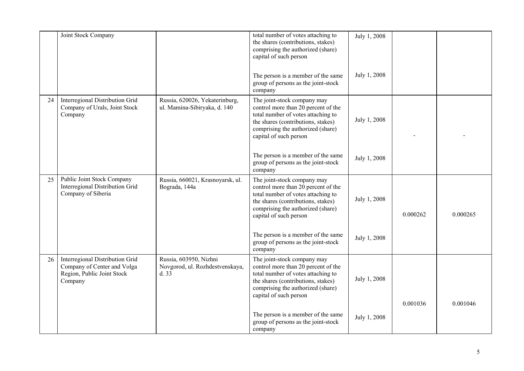|    | Joint Stock Company                                                                                     |                                                                    | total number of votes attaching to<br>the shares (contributions, stakes)<br>comprising the authorized (share)<br>capital of such person                                                                       | July 1, 2008 |          |          |
|----|---------------------------------------------------------------------------------------------------------|--------------------------------------------------------------------|---------------------------------------------------------------------------------------------------------------------------------------------------------------------------------------------------------------|--------------|----------|----------|
|    |                                                                                                         |                                                                    | The person is a member of the same<br>group of persons as the joint-stock<br>company                                                                                                                          | July 1, 2008 |          |          |
| 24 | Interregional Distribution Grid<br>Company of Urals, Joint Stock<br>Company                             | Russia, 620026, Yekaterinburg,<br>ul. Mamina-Sibiryaka, d. 140     | The joint-stock company may<br>control more than 20 percent of the<br>total number of votes attaching to<br>the shares (contributions, stakes)<br>comprising the authorized (share)<br>capital of such person | July 1, 2008 |          |          |
|    |                                                                                                         |                                                                    | The person is a member of the same<br>group of persons as the joint-stock<br>company                                                                                                                          | July 1, 2008 |          |          |
| 25 | Public Joint Stock Company<br>Interregional Distribution Grid<br>Company of Siberia                     | Russia, 660021, Krasnoyarsk, ul.<br>Bograda, 144a                  | The joint-stock company may<br>control more than 20 percent of the<br>total number of votes attaching to<br>the shares (contributions, stakes)<br>comprising the authorized (share)<br>capital of such person | July 1, 2008 | 0.000262 | 0.000265 |
|    |                                                                                                         |                                                                    | The person is a member of the same<br>group of persons as the joint-stock<br>company                                                                                                                          | July 1, 2008 |          |          |
| 26 | Interregional Distribution Grid<br>Company of Center and Volga<br>Region, Public Joint Stock<br>Company | Russia, 603950, Nizhni<br>Novgorod, ul. Rozhdestvenskaya,<br>d. 33 | The joint-stock company may<br>control more than 20 percent of the<br>total number of votes attaching to<br>the shares (contributions, stakes)<br>comprising the authorized (share)<br>capital of such person | July 1, 2008 |          |          |
|    |                                                                                                         |                                                                    | The person is a member of the same<br>group of persons as the joint-stock<br>company                                                                                                                          | July 1, 2008 | 0.001036 | 0.001046 |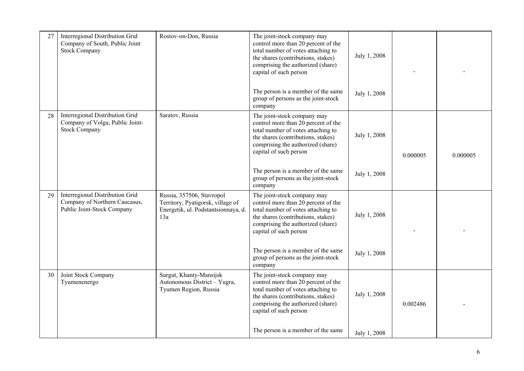| 27 | Interregional Distribution Grid<br>Company of South, Public Joint<br><b>Stock Company</b>      | Rostov-on-Don, Russia                                                                                        | The joint-stock company may<br>control more than 20 percent of the<br>total number of votes attaching to<br>the shares (contributions, stakes)<br>comprising the authorized (share)<br>capital of such person | July 1, 2008 |          |          |
|----|------------------------------------------------------------------------------------------------|--------------------------------------------------------------------------------------------------------------|---------------------------------------------------------------------------------------------------------------------------------------------------------------------------------------------------------------|--------------|----------|----------|
|    |                                                                                                |                                                                                                              | The person is a member of the same<br>group of persons as the joint-stock<br>company                                                                                                                          | July 1, 2008 |          |          |
| 28 | Interregional Distribution Grid<br>Company of Volga, Public Joint-<br><b>Stock Company</b>     | Saratov, Russia                                                                                              | The joint-stock company may<br>control more than 20 percent of the<br>total number of votes attaching to<br>the shares (contributions, stakes)<br>comprising the authorized (share)<br>capital of such person | July 1, 2008 | 0.000005 | 0.000005 |
|    |                                                                                                |                                                                                                              | The person is a member of the same<br>group of persons as the joint-stock<br>company                                                                                                                          | July 1, 2008 |          |          |
| 29 | Interregional Distribution Grid<br>Company of Northern Caucasus,<br>Public Joint-Stock Company | Russia, 357506, Stavropol<br>Territory, Pyatigorsk, village of<br>Energetik, ul. Podstantsionnaya, d.<br>13a | The joint-stock company may<br>control more than 20 percent of the<br>total number of votes attaching to<br>the shares (contributions, stakes)<br>comprising the authorized (share)<br>capital of such person | July 1, 2008 |          |          |
|    |                                                                                                |                                                                                                              | The person is a member of the same<br>group of persons as the joint-stock<br>company                                                                                                                          | July 1, 2008 |          |          |
| 30 | Joint Stock Company<br>Tyumenenergo                                                            | Surgut, Khanty-Mansijsk<br>Autonomous District - Yugra,<br>Tyumen Region, Russia                             | The joint-stock company may<br>control more than 20 percent of the<br>total number of votes attaching to<br>the shares (contributions, stakes)<br>comprising the authorized (share)<br>capital of such person | July 1, 2008 | 0.002486 |          |
|    |                                                                                                |                                                                                                              | The person is a member of the same                                                                                                                                                                            | July 1, 2008 |          |          |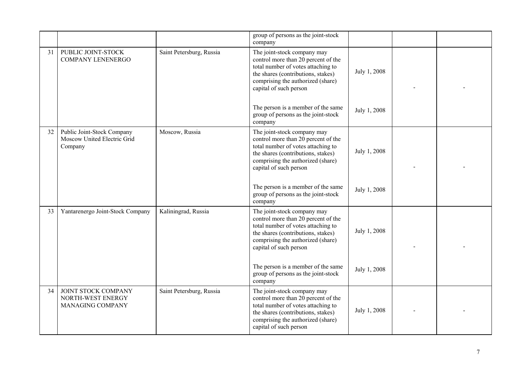|    |                                                                      |                          | group of persons as the joint-stock<br>company                                                                                                                                                                |              |  |
|----|----------------------------------------------------------------------|--------------------------|---------------------------------------------------------------------------------------------------------------------------------------------------------------------------------------------------------------|--------------|--|
| 31 | PUBLIC JOINT-STOCK<br><b>COMPANY LENENERGO</b>                       | Saint Petersburg, Russia | The joint-stock company may<br>control more than 20 percent of the<br>total number of votes attaching to<br>the shares (contributions, stakes)<br>comprising the authorized (share)<br>capital of such person | July 1, 2008 |  |
|    |                                                                      |                          | The person is a member of the same<br>group of persons as the joint-stock<br>company                                                                                                                          | July 1, 2008 |  |
| 32 | Public Joint-Stock Company<br>Moscow United Electric Grid<br>Company | Moscow, Russia           | The joint-stock company may<br>control more than 20 percent of the<br>total number of votes attaching to<br>the shares (contributions, stakes)<br>comprising the authorized (share)<br>capital of such person | July 1, 2008 |  |
|    |                                                                      |                          | The person is a member of the same<br>group of persons as the joint-stock<br>company                                                                                                                          | July 1, 2008 |  |
| 33 | Yantarenergo Joint-Stock Company                                     | Kaliningrad, Russia      | The joint-stock company may<br>control more than 20 percent of the<br>total number of votes attaching to<br>the shares (contributions, stakes)<br>comprising the authorized (share)<br>capital of such person | July 1, 2008 |  |
|    |                                                                      |                          | The person is a member of the same<br>group of persons as the joint-stock<br>company                                                                                                                          | July 1, 2008 |  |
| 34 | JOINT STOCK COMPANY<br>NORTH-WEST ENERGY<br>MANAGING COMPANY         | Saint Petersburg, Russia | The joint-stock company may<br>control more than 20 percent of the<br>total number of votes attaching to<br>the shares (contributions, stakes)<br>comprising the authorized (share)<br>capital of such person | July 1, 2008 |  |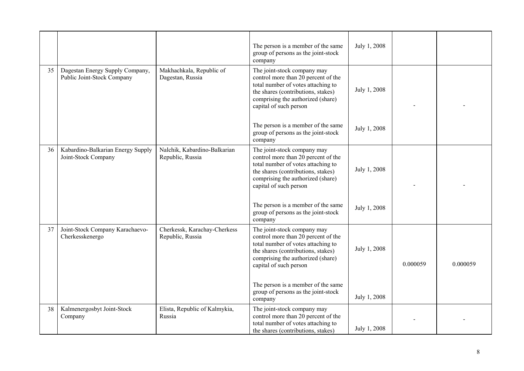|    |                                                               |                                                  | The person is a member of the same<br>group of persons as the joint-stock<br>company                                                                                                                          | July 1, 2008 |          |          |
|----|---------------------------------------------------------------|--------------------------------------------------|---------------------------------------------------------------------------------------------------------------------------------------------------------------------------------------------------------------|--------------|----------|----------|
| 35 | Dagestan Energy Supply Company,<br>Public Joint-Stock Company | Makhachkala, Republic of<br>Dagestan, Russia     | The joint-stock company may<br>control more than 20 percent of the<br>total number of votes attaching to<br>the shares (contributions, stakes)<br>comprising the authorized (share)<br>capital of such person | July 1, 2008 |          |          |
|    |                                                               |                                                  | The person is a member of the same<br>group of persons as the joint-stock<br>company                                                                                                                          | July 1, 2008 |          |          |
| 36 | Kabardino-Balkarian Energy Supply<br>Joint-Stock Company      | Nalchik, Kabardino-Balkarian<br>Republic, Russia | The joint-stock company may<br>control more than 20 percent of the<br>total number of votes attaching to<br>the shares (contributions, stakes)<br>comprising the authorized (share)<br>capital of such person | July 1, 2008 |          |          |
|    |                                                               |                                                  | The person is a member of the same<br>group of persons as the joint-stock<br>company                                                                                                                          | July 1, 2008 |          |          |
| 37 | Joint-Stock Company Karachaevo-<br>Cherkesskenergo            | Cherkessk, Karachay-Cherkess<br>Republic, Russia | The joint-stock company may<br>control more than 20 percent of the<br>total number of votes attaching to<br>the shares (contributions, stakes)<br>comprising the authorized (share)<br>capital of such person | July 1, 2008 | 0.000059 | 0.000059 |
|    |                                                               |                                                  | The person is a member of the same<br>group of persons as the joint-stock<br>company                                                                                                                          | July 1, 2008 |          |          |
| 38 | Kalmenergosbyt Joint-Stock<br>Company                         | Elista, Republic of Kalmykia,<br>Russia          | The joint-stock company may<br>control more than 20 percent of the<br>total number of votes attaching to<br>the shares (contributions, stakes)                                                                | July 1, 2008 |          |          |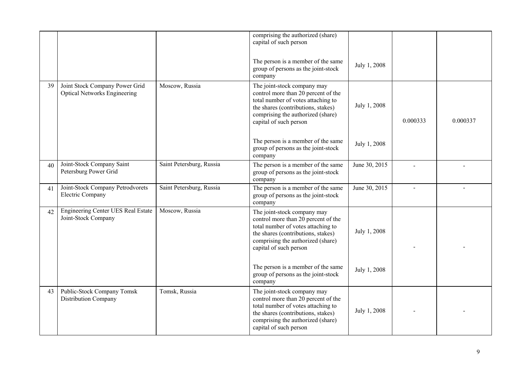|    |                                                                       |                          | comprising the authorized (share)<br>capital of such person                                                                                                                                                   |               |          |          |
|----|-----------------------------------------------------------------------|--------------------------|---------------------------------------------------------------------------------------------------------------------------------------------------------------------------------------------------------------|---------------|----------|----------|
|    |                                                                       |                          | The person is a member of the same<br>group of persons as the joint-stock<br>company                                                                                                                          | July 1, 2008  |          |          |
| 39 | Joint Stock Company Power Grid<br><b>Optical Networks Engineering</b> | Moscow, Russia           | The joint-stock company may<br>control more than 20 percent of the<br>total number of votes attaching to<br>the shares (contributions, stakes)<br>comprising the authorized (share)<br>capital of such person | July 1, 2008  | 0.000333 | 0.000337 |
|    |                                                                       |                          | The person is a member of the same<br>group of persons as the joint-stock<br>company                                                                                                                          | July 1, 2008  |          |          |
| 40 | Joint-Stock Company Saint<br>Petersburg Power Grid                    | Saint Petersburg, Russia | The person is a member of the same<br>group of persons as the joint-stock<br>company                                                                                                                          | June 30, 2015 |          |          |
| 41 | Joint-Stock Company Petrodvorets<br><b>Electric Company</b>           | Saint Petersburg, Russia | The person is a member of the same<br>group of persons as the joint-stock<br>company                                                                                                                          | June 30, 2015 |          |          |
| 42 | <b>Engineering Center UES Real Estate</b><br>Joint-Stock Company      | Moscow, Russia           | The joint-stock company may<br>control more than 20 percent of the<br>total number of votes attaching to<br>the shares (contributions, stakes)<br>comprising the authorized (share)<br>capital of such person | July 1, 2008  |          |          |
|    |                                                                       |                          | The person is a member of the same<br>group of persons as the joint-stock<br>company                                                                                                                          | July 1, 2008  |          |          |
| 43 | Public-Stock Company Tomsk<br>Distribution Company                    | Tomsk, Russia            | The joint-stock company may<br>control more than 20 percent of the<br>total number of votes attaching to<br>the shares (contributions, stakes)<br>comprising the authorized (share)<br>capital of such person | July 1, 2008  |          |          |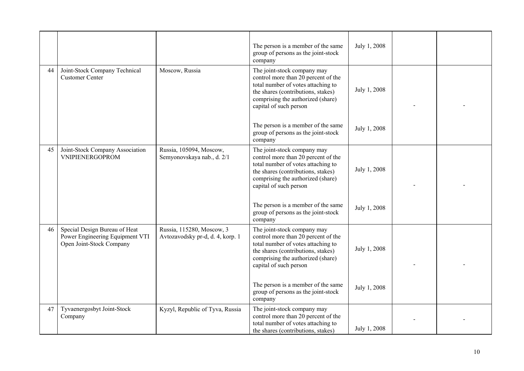|    |                                                                                              |                                                               | The person is a member of the same<br>group of persons as the joint-stock<br>company                                                                                                                          | July 1, 2008 |  |
|----|----------------------------------------------------------------------------------------------|---------------------------------------------------------------|---------------------------------------------------------------------------------------------------------------------------------------------------------------------------------------------------------------|--------------|--|
| 44 | Joint-Stock Company Technical<br><b>Customer Center</b>                                      | Moscow, Russia                                                | The joint-stock company may<br>control more than 20 percent of the<br>total number of votes attaching to<br>the shares (contributions, stakes)<br>comprising the authorized (share)<br>capital of such person | July 1, 2008 |  |
|    |                                                                                              |                                                               | The person is a member of the same<br>group of persons as the joint-stock<br>company                                                                                                                          | July 1, 2008 |  |
| 45 | Joint-Stock Company Association<br>VNIPIENERGOPROM                                           | Russia, 105094, Moscow,<br>Semyonovskaya nab., d. 2/1         | The joint-stock company may<br>control more than 20 percent of the<br>total number of votes attaching to<br>the shares (contributions, stakes)<br>comprising the authorized (share)<br>capital of such person | July 1, 2008 |  |
|    |                                                                                              |                                                               | The person is a member of the same<br>group of persons as the joint-stock<br>company                                                                                                                          | July 1, 2008 |  |
| 46 | Special Design Bureau of Heat<br>Power Engineering Equipment VTI<br>Open Joint-Stock Company | Russia, 115280, Moscow, 3<br>Avtozavodsky pr-d, d. 4, korp. 1 | The joint-stock company may<br>control more than 20 percent of the<br>total number of votes attaching to<br>the shares (contributions, stakes)<br>comprising the authorized (share)<br>capital of such person | July 1, 2008 |  |
|    |                                                                                              |                                                               | The person is a member of the same<br>group of persons as the joint-stock<br>company                                                                                                                          | July 1, 2008 |  |
| 47 | Tyvaenergosbyt Joint-Stock<br>Company                                                        | Kyzyl, Republic of Tyva, Russia                               | The joint-stock company may<br>control more than 20 percent of the<br>total number of votes attaching to<br>the shares (contributions, stakes)                                                                | July 1, 2008 |  |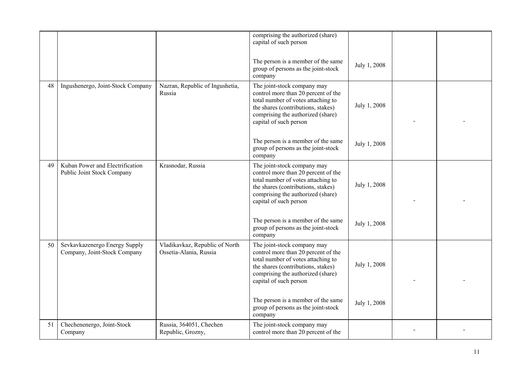|    |                                                               |                                                          | comprising the authorized (share)<br>capital of such person                                                                                                                                                   |              |  |
|----|---------------------------------------------------------------|----------------------------------------------------------|---------------------------------------------------------------------------------------------------------------------------------------------------------------------------------------------------------------|--------------|--|
|    |                                                               |                                                          | The person is a member of the same<br>group of persons as the joint-stock<br>company                                                                                                                          | July 1, 2008 |  |
| 48 | Ingushenergo, Joint-Stock Company                             | Nazran, Republic of Ingushetia,<br>Russia                | The joint-stock company may<br>control more than 20 percent of the<br>total number of votes attaching to<br>the shares (contributions, stakes)<br>comprising the authorized (share)<br>capital of such person | July 1, 2008 |  |
|    |                                                               |                                                          | The person is a member of the same<br>group of persons as the joint-stock<br>company                                                                                                                          | July 1, 2008 |  |
| 49 | Kuban Power and Electrification<br>Public Joint Stock Company | Krasnodar, Russia                                        | The joint-stock company may<br>control more than 20 percent of the<br>total number of votes attaching to<br>the shares (contributions, stakes)<br>comprising the authorized (share)<br>capital of such person | July 1, 2008 |  |
|    |                                                               |                                                          | The person is a member of the same<br>group of persons as the joint-stock<br>company                                                                                                                          | July 1, 2008 |  |
| 50 | Sevkavkazenergo Energy Supply<br>Company, Joint-Stock Company | Vladikavkaz, Republic of North<br>Ossetia-Alania, Russia | The joint-stock company may<br>control more than 20 percent of the<br>total number of votes attaching to<br>the shares (contributions, stakes)<br>comprising the authorized (share)<br>capital of such person | July 1, 2008 |  |
|    |                                                               |                                                          | The person is a member of the same<br>group of persons as the joint-stock<br>company                                                                                                                          | July 1, 2008 |  |
| 51 | Chechenenergo, Joint-Stock<br>Company                         | Russia, 364051, Chechen<br>Republic, Grozny,             | The joint-stock company may<br>control more than 20 percent of the                                                                                                                                            |              |  |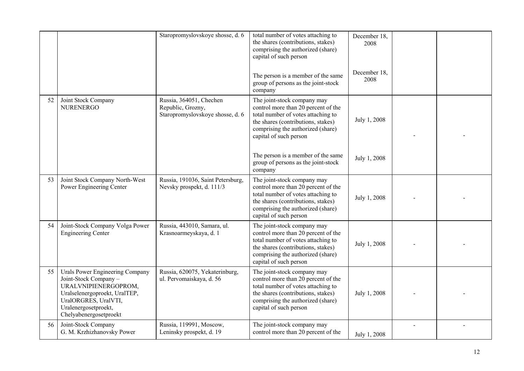|    |                                                                                                                                                                                             | Staropromyslovskoye shosse, d. 6                                                 | total number of votes attaching to<br>the shares (contributions, stakes)<br>comprising the authorized (share)<br>capital of such person                                                                       | December 18,<br>2008 |  |
|----|---------------------------------------------------------------------------------------------------------------------------------------------------------------------------------------------|----------------------------------------------------------------------------------|---------------------------------------------------------------------------------------------------------------------------------------------------------------------------------------------------------------|----------------------|--|
|    |                                                                                                                                                                                             |                                                                                  | The person is a member of the same<br>group of persons as the joint-stock<br>company                                                                                                                          | December 18.<br>2008 |  |
| 52 | Joint Stock Company<br><b>NURENERGO</b>                                                                                                                                                     | Russia, 364051, Chechen<br>Republic, Grozny,<br>Staropromyslovskoye shosse, d. 6 | The joint-stock company may<br>control more than 20 percent of the<br>total number of votes attaching to<br>the shares (contributions, stakes)<br>comprising the authorized (share)<br>capital of such person | July 1, 2008         |  |
|    |                                                                                                                                                                                             |                                                                                  | The person is a member of the same<br>group of persons as the joint-stock<br>company                                                                                                                          | July 1, 2008         |  |
| 53 | Joint Stock Company North-West<br>Power Engineering Center                                                                                                                                  | Russia, 191036, Saint Petersburg,<br>Nevsky prospekt, d. 111/3                   | The joint-stock company may<br>control more than 20 percent of the<br>total number of votes attaching to<br>the shares (contributions, stakes)<br>comprising the authorized (share)<br>capital of such person | July 1, 2008         |  |
| 54 | Joint-Stock Company Volga Power<br><b>Engineering Center</b>                                                                                                                                | Russia, 443010, Samara, ul.<br>Krasnoarmeyskaya, d. 1                            | The joint-stock company may<br>control more than 20 percent of the<br>total number of votes attaching to<br>the shares (contributions, stakes)<br>comprising the authorized (share)<br>capital of such person | July 1, 2008         |  |
| 55 | Urals Power Engineering Company<br>Joint-Stock Company -<br>URALVNIPIENERGOPROM,<br>Uralselenergoproekt, UralTEP,<br>UralORGRES, UralVTI,<br>Uralenergosetproekt,<br>Chelyabenergosetproekt | Russia, 620075, Yekaterinburg,<br>ul. Pervomaiskaya, d. 56                       | The joint-stock company may<br>control more than 20 percent of the<br>total number of votes attaching to<br>the shares (contributions, stakes)<br>comprising the authorized (share)<br>capital of such person | July 1, 2008         |  |
| 56 | Joint-Stock Company<br>G. M. Krzhizhanovsky Power                                                                                                                                           | Russia, 119991, Moscow,<br>Leninsky prospekt, d. 19                              | The joint-stock company may<br>control more than 20 percent of the                                                                                                                                            | July 1, 2008         |  |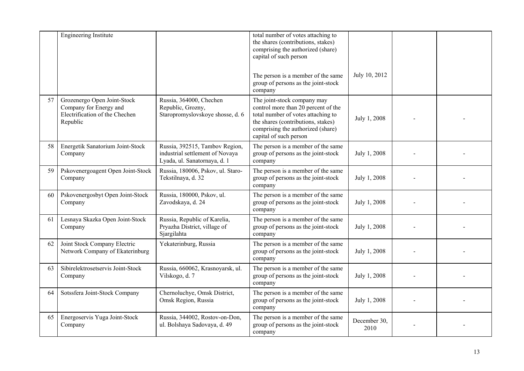|    | Engineering Institute                                                                               |                                                                                                   | total number of votes attaching to<br>the shares (contributions, stakes)<br>comprising the authorized (share)<br>capital of such person                                                                       |                      |  |
|----|-----------------------------------------------------------------------------------------------------|---------------------------------------------------------------------------------------------------|---------------------------------------------------------------------------------------------------------------------------------------------------------------------------------------------------------------|----------------------|--|
|    |                                                                                                     |                                                                                                   | The person is a member of the same<br>group of persons as the joint-stock<br>company                                                                                                                          | July 10, 2012        |  |
| 57 | Grozenergo Open Joint-Stock<br>Company for Energy and<br>Electrification of the Chechen<br>Republic | Russia, 364000, Chechen<br>Republic, Grozny,<br>Staropromyslovskoye shosse, d. 6                  | The joint-stock company may<br>control more than 20 percent of the<br>total number of votes attaching to<br>the shares (contributions, stakes)<br>comprising the authorized (share)<br>capital of such person | July 1, 2008         |  |
| 58 | Energetik Sanatorium Joint-Stock<br>Company                                                         | Russia, 392515, Tambov Region,<br>industrial settlement of Novaya<br>Lyada, ul. Sanatornaya, d. 1 | The person is a member of the same<br>group of persons as the joint-stock<br>company                                                                                                                          | July 1, 2008         |  |
| 59 | Pskovenergoagent Open Joint-Stock<br>Company                                                        | Russia, 180006, Pskov, ul. Staro-<br>Tekstilnaya, d. 32                                           | The person is a member of the same<br>group of persons as the joint-stock<br>company                                                                                                                          | July 1, 2008         |  |
| 60 | Pskovenergosbyt Open Joint-Stock<br>Company                                                         | Russia, 180000, Pskov, ul.<br>Zavodskaya, d. 24                                                   | The person is a member of the same<br>group of persons as the joint-stock<br>company                                                                                                                          | July 1, 2008         |  |
| 61 | Lesnaya Skazka Open Joint-Stock<br>Company                                                          | Russia, Republic of Karelia,<br>Pryazha District, village of<br>Sjargilahta                       | The person is a member of the same<br>group of persons as the joint-stock<br>company                                                                                                                          | July 1, 2008         |  |
| 62 | Joint Stock Company Electric<br>Network Company of Ekaterinburg                                     | Yekaterinburg, Russia                                                                             | The person is a member of the same<br>group of persons as the joint-stock<br>company                                                                                                                          | July 1, 2008         |  |
| 63 | Sibirelektrosetservis Joint-Stock<br>Company                                                        | Russia, 660062, Krasnoyarsk, ul.<br>Vilskogo, d. 7                                                | The person is a member of the same<br>group of persons as the joint-stock<br>company                                                                                                                          | July 1, 2008         |  |
| 64 | Sotssfera Joint-Stock Company                                                                       | Chernoluchye, Omsk District,<br>Omsk Region, Russia                                               | The person is a member of the same<br>group of persons as the joint-stock<br>company                                                                                                                          | July 1, 2008         |  |
| 65 | Energoservis Yuga Joint-Stock<br>Company                                                            | Russia, 344002, Rostov-on-Don,<br>ul. Bolshaya Sadovaya, d. 49                                    | The person is a member of the same<br>group of persons as the joint-stock<br>company                                                                                                                          | December 30,<br>2010 |  |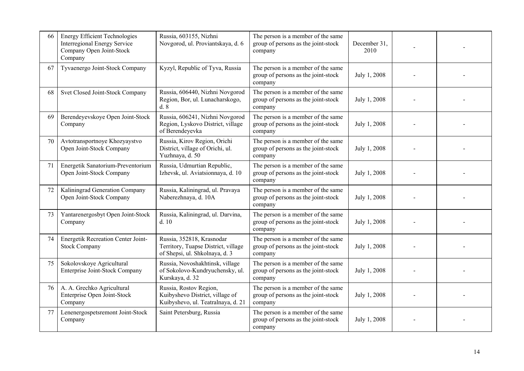| 66 | <b>Energy Efficient Technologies</b><br><b>Interregional Energy Service</b><br>Company Open Joint-Stock<br>Company | Russia, 603155, Nizhni<br>Novgorod, ul. Proviantskaya, d. 6                                        | The person is a member of the same<br>group of persons as the joint-stock<br>company | December 31,<br>2010 |  |
|----|--------------------------------------------------------------------------------------------------------------------|----------------------------------------------------------------------------------------------------|--------------------------------------------------------------------------------------|----------------------|--|
| 67 | Tyvaenergo Joint-Stock Company                                                                                     | Kyzyl, Republic of Tyva, Russia                                                                    | The person is a member of the same<br>group of persons as the joint-stock<br>company | July 1, 2008         |  |
| 68 | Svet Closed Joint-Stock Company                                                                                    | Russia, 606440, Nizhni Novgorod<br>Region, Bor, ul. Lunacharskogo,<br>d. 8                         | The person is a member of the same<br>group of persons as the joint-stock<br>company | July 1, 2008         |  |
| 69 | Berendeyevskoye Open Joint-Stock<br>Company                                                                        | Russia, 606241, Nizhni Novgorod<br>Region, Lyskovo District, village<br>of Berendeyevka            | The person is a member of the same<br>group of persons as the joint-stock<br>company | July 1, 2008         |  |
| 70 | Avtotransportnoye Khozyaystvo<br>Open Joint-Stock Company                                                          | Russia, Kirov Region, Orichi<br>District, village of Orichi, ul.<br>Yuzhnaya, d. 50                | The person is a member of the same<br>group of persons as the joint-stock<br>company | July 1, 2008         |  |
| 71 | Energetik Sanatorium-Preventorium<br>Open Joint-Stock Company                                                      | Russia, Udmurtian Republic,<br>Izhevsk, ul. Aviatsionnaya, d. 10                                   | The person is a member of the same<br>group of persons as the joint-stock<br>company | July 1, 2008         |  |
| 72 | Kaliningrad Generation Company<br>Open Joint-Stock Company                                                         | Russia, Kaliningrad, ul. Pravaya<br>Naberezhnaya, d. 10A                                           | The person is a member of the same<br>group of persons as the joint-stock<br>company | July 1, 2008         |  |
| 73 | Yantarenergosbyt Open Joint-Stock<br>Company                                                                       | Russia, Kaliningrad, ul. Darvina,<br>d.10                                                          | The person is a member of the same<br>group of persons as the joint-stock<br>company | July 1, 2008         |  |
| 74 | <b>Energetik Recreation Center Joint-</b><br><b>Stock Company</b>                                                  | Russia, 352818, Krasnodar<br>Territory, Tuapse District, village<br>of Shepsi, ul. Shkolnaya, d. 3 | The person is a member of the same<br>group of persons as the joint-stock<br>company | July 1, 2008         |  |
| 75 | Sokolovskoye Agricultural<br>Enterprise Joint-Stock Company                                                        | Russia, Novoshakhtinsk, village<br>of Sokolovo-Kundryuchensky, ul.<br>Kurskaya, d. 32              | The person is a member of the same<br>group of persons as the joint-stock<br>company | July 1, 2008         |  |
| 76 | A. A. Grechko Agricultural<br>Enterprise Open Joint-Stock<br>Company                                               | Russia, Rostov Region,<br>Kuibyshevo District, village of<br>Kuibyshevo, ul. Teatralnaya, d. 21    | The person is a member of the same<br>group of persons as the joint-stock<br>company | July 1, 2008         |  |
| 77 | Lenenergospetsremont Joint-Stock<br>Company                                                                        | Saint Petersburg, Russia                                                                           | The person is a member of the same<br>group of persons as the joint-stock<br>company | July 1, 2008         |  |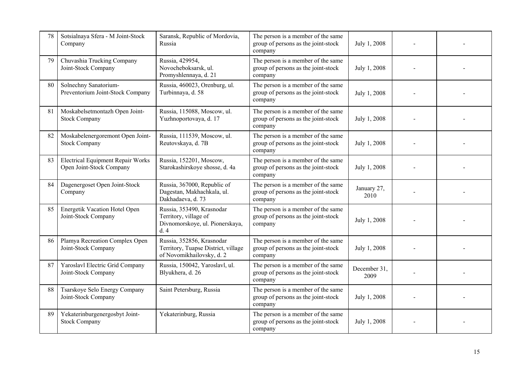| 78 | Sotsialnaya Sfera - M Joint-Stock<br>Company                         | Saransk, Republic of Mordovia,<br>Russia                                                      | The person is a member of the same<br>group of persons as the joint-stock<br>company | July 1, 2008         |  |
|----|----------------------------------------------------------------------|-----------------------------------------------------------------------------------------------|--------------------------------------------------------------------------------------|----------------------|--|
| 79 | Chuvashia Trucking Company<br>Joint-Stock Company                    | Russia, 429954,<br>Novocheboksarsk, ul.<br>Promyshlennaya, d. 21                              | The person is a member of the same<br>group of persons as the joint-stock<br>company | July 1, 2008         |  |
| 80 | Solnechny Sanatorium-<br>Preventorium Joint-Stock Company            | Russia, 460023, Orenburg, ul.<br>Turbinnaya, d. 58                                            | The person is a member of the same<br>group of persons as the joint-stock<br>company | July 1, 2008         |  |
| 81 | Moskabelsetmontazh Open Joint-<br><b>Stock Company</b>               | Russia, 115088, Moscow, ul.<br>Yuzhnoportovaya, d. 17                                         | The person is a member of the same<br>group of persons as the joint-stock<br>company | July 1, 2008         |  |
| 82 | Moskabelenergoremont Open Joint-<br><b>Stock Company</b>             | Russia, 111539, Moscow, ul.<br>Reutovskaya, d. 7B                                             | The person is a member of the same<br>group of persons as the joint-stock<br>company | July 1, 2008         |  |
| 83 | <b>Electrical Equipment Repair Works</b><br>Open Joint-Stock Company | Russia, 152201, Moscow,<br>Starokashirskoye shosse, d. 4a                                     | The person is a member of the same<br>group of persons as the joint-stock<br>company | July 1, 2008         |  |
| 84 | Dagenergoset Open Joint-Stock<br>Company                             | Russia, 367000, Republic of<br>Dagestan, Makhachkala, ul.<br>Dakhadaeva, d. 73                | The person is a member of the same<br>group of persons as the joint-stock<br>company | January 27,<br>2010  |  |
| 85 | Energetik Vacation Hotel Open<br>Joint-Stock Company                 | Russia, 353490, Krasnodar<br>Territory, village of<br>Divnomorskoye, ul. Pionerskaya,<br>d.4  | The person is a member of the same<br>group of persons as the joint-stock<br>company | July 1, 2008         |  |
| 86 | Plamya Recreation Complex Open<br>Joint-Stock Company                | Russia, 352856, Krasnodar<br>Territory, Tuapse District, village<br>of Novomikhailovsky, d. 2 | The person is a member of the same<br>group of persons as the joint-stock<br>company | July 1, 2008         |  |
| 87 | Yaroslavl Electric Grid Company<br>Joint-Stock Company               | Russia, 150042, Yaroslavl, ul.<br>Blyukhera, d. 26                                            | The person is a member of the same<br>group of persons as the joint-stock<br>company | December 31,<br>2009 |  |
| 88 | Tsarskoye Selo Energy Company<br>Joint-Stock Company                 | Saint Petersburg, Russia                                                                      | The person is a member of the same<br>group of persons as the joint-stock<br>company | July 1, 2008         |  |
| 89 | Yekaterinburgenergosbyt Joint-<br><b>Stock Company</b>               | Yekaterinburg, Russia                                                                         | The person is a member of the same<br>group of persons as the joint-stock<br>company | July 1, 2008         |  |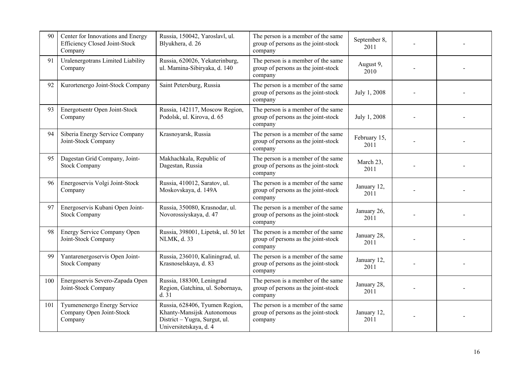| 90  | Center for Innovations and Energy<br>Efficiency Closed Joint-Stock<br>Company | Russia, 150042, Yaroslavl, ul.<br>Blyukhera, d. 26                                                                      | The person is a member of the same<br>group of persons as the joint-stock<br>company | September 8,<br>2011 |  |
|-----|-------------------------------------------------------------------------------|-------------------------------------------------------------------------------------------------------------------------|--------------------------------------------------------------------------------------|----------------------|--|
| 91  | Uralenergotrans Limited Liability<br>Company                                  | Russia, 620026, Yekaterinburg,<br>ul. Mamina-Sibiryaka, d. 140                                                          | The person is a member of the same<br>group of persons as the joint-stock<br>company | August 9,<br>2010    |  |
| 92  | Kurortenergo Joint-Stock Company                                              | Saint Petersburg, Russia                                                                                                | The person is a member of the same<br>group of persons as the joint-stock<br>company | July 1, 2008         |  |
| 93  | Energotsentr Open Joint-Stock<br>Company                                      | Russia, 142117, Moscow Region,<br>Podolsk, ul. Kirova, d. 65                                                            | The person is a member of the same<br>group of persons as the joint-stock<br>company | July 1, 2008         |  |
| 94  | Siberia Energy Service Company<br>Joint-Stock Company                         | Krasnoyarsk, Russia                                                                                                     | The person is a member of the same<br>group of persons as the joint-stock<br>company | February 15,<br>2011 |  |
| 95  | Dagestan Grid Company, Joint-<br><b>Stock Company</b>                         | Makhachkala, Republic of<br>Dagestan, Russia                                                                            | The person is a member of the same<br>group of persons as the joint-stock<br>company | March 23,<br>2011    |  |
| 96  | Energoservis Volgi Joint-Stock<br>Company                                     | Russia, 410012, Saratov, ul.<br>Moskovskaya, d. 149A                                                                    | The person is a member of the same<br>group of persons as the joint-stock<br>company | January 12,<br>2011  |  |
| 97  | Energoservis Kubani Open Joint-<br><b>Stock Company</b>                       | Russia, 350080, Krasnodar, ul.<br>Novorossiyskaya, d. 47                                                                | The person is a member of the same<br>group of persons as the joint-stock<br>company | January 26,<br>2011  |  |
| 98  | Energy Service Company Open<br>Joint-Stock Company                            | Russia, 398001, Lipetsk, ul. 50 let<br>NLMK, d. 33                                                                      | The person is a member of the same<br>group of persons as the joint-stock<br>company | January 28,<br>2011  |  |
| 99  | Yantarenergoservis Open Joint-<br><b>Stock Company</b>                        | Russia, 236010, Kaliningrad, ul.<br>Krasnoselskaya, d. 83                                                               | The person is a member of the same<br>group of persons as the joint-stock<br>company | January 12,<br>2011  |  |
| 100 | Energoservis Severo-Zapada Open<br>Joint-Stock Company                        | Russia, 188300, Leningrad<br>Region, Gatchina, ul. Sobornaya,<br>d.31                                                   | The person is a member of the same<br>group of persons as the joint-stock<br>company | January 28,<br>2011  |  |
| 101 | Tyumenenergo Energy Service<br>Company Open Joint-Stock<br>Company            | Russia, 628406, Tyumen Region,<br>Khanty-Mansijsk Autonomous<br>District - Yugra, Surgut, ul.<br>Universitetskaya, d. 4 | The person is a member of the same<br>group of persons as the joint-stock<br>company | January 12,<br>2011  |  |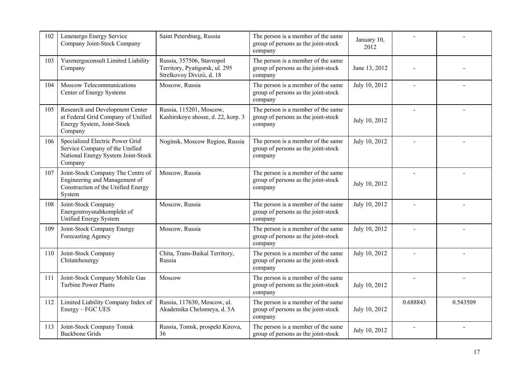| 102 | Lenenergo Energy Service<br>Company Joint-Stock Company                                                            | Saint Petersburg, Russia                                                                 | The person is a member of the same<br>group of persons as the joint-stock<br>company | January 10,<br>2012 |          |          |
|-----|--------------------------------------------------------------------------------------------------------------------|------------------------------------------------------------------------------------------|--------------------------------------------------------------------------------------|---------------------|----------|----------|
| 103 | Yurenergoconsult Limited Liability<br>Company                                                                      | Russia, 357506, Stavropol<br>Territory, Pyatigorsk, ul. 295<br>Strelkovoy Divizii, d. 18 | The person is a member of the same<br>group of persons as the joint-stock<br>company | June 13, 2012       |          |          |
| 104 | Moscow Telecommunications<br>Center of Energy Systems                                                              | Moscow, Russia                                                                           | The person is a member of the same<br>group of persons as the joint-stock<br>company | July 10, 2012       |          |          |
| 105 | Research and Development Center<br>at Federal Grid Company of Unified<br>Energy System, Joint-Stock<br>Company     | Russia, 115201, Moscow,<br>Kashirskoye shosse, d. 22, korp. 3                            | The person is a member of the same<br>group of persons as the joint-stock<br>company | July 10, 2012       |          |          |
| 106 | Specialized Electric Power Grid<br>Service Company of the Unified<br>National Energy System Joint-Stock<br>Company | Noginsk, Moscow Region, Russia                                                           | The person is a member of the same<br>group of persons as the joint-stock<br>company | July 10, 2012       |          |          |
| 107 | Joint-Stock Company The Centre of<br>Engineering and Management of<br>Construction of the Unified Energy<br>System | Moscow, Russia                                                                           | The person is a member of the same<br>group of persons as the joint-stock<br>company | July 10, 2012       |          |          |
| 108 | Joint-Stock Company<br>Energostroysnabkomplekt of<br>Unified Energy System                                         | Moscow, Russia                                                                           | The person is a member of the same<br>group of persons as the joint-stock<br>company | July 10, 2012       |          |          |
| 109 | Joint-Stock Company Energy<br>Forecasting Agency                                                                   | Moscow, Russia                                                                           | The person is a member of the same<br>group of persons as the joint-stock<br>company | July 10, 2012       |          |          |
| 110 | Joint-Stock Company<br>Chitatehenergy                                                                              | Chita, Trans-Baikal Territory,<br>Russia                                                 | The person is a member of the same<br>group of persons as the joint-stock<br>company | July 10, 2012       |          |          |
| 111 | Joint-Stock Company Mobile Gas<br><b>Turbine Power Plants</b>                                                      | Moscow                                                                                   | The person is a member of the same<br>group of persons as the joint-stock<br>company | July 10, 2012       |          |          |
| 112 | Limited Liability Company Index of<br>Energy - FGC UES                                                             | Russia, 117630, Moscow, ul.<br>Akademika Chelomeya, d. 5A                                | The person is a member of the same<br>group of persons as the joint-stock<br>company | July 10, 2012       | 0.688843 | 0.543509 |
| 113 | Joint-Stock Company Tomsk<br><b>Backbone Grids</b>                                                                 | Russia, Tomsk, prospekt Kirova,<br>36                                                    | The person is a member of the same<br>group of persons as the joint-stock            | July 10, 2012       |          |          |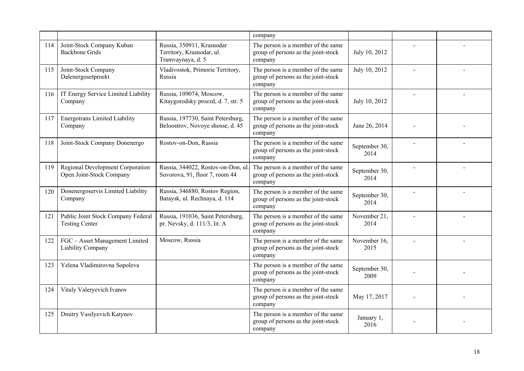|     |                                                              |                                                                             | company                                                                              |                       |  |
|-----|--------------------------------------------------------------|-----------------------------------------------------------------------------|--------------------------------------------------------------------------------------|-----------------------|--|
| 114 | Joint-Stock Company Kuban<br><b>Backbone Grids</b>           | Russia, 350911, Krasnodar<br>Territory, Krasnodar, ul.<br>Tramvaynaya, d. 5 | The person is a member of the same<br>group of persons as the joint-stock<br>company | July 10, 2012         |  |
| 115 | Joint-Stock Company<br>Dalenergosetproekt                    | Vladivostok, Primorie Territory,<br>Russia                                  | The person is a member of the same<br>group of persons as the joint-stock<br>company | July 10, 2012         |  |
| 116 | IT Energy Service Limited Liability<br>Company               | Russia, 109074, Moscow,<br>Kitaygorodsky proezd, d. 7, str. 5               | The person is a member of the same<br>group of persons as the joint-stock<br>company | July 10, 2012         |  |
| 117 | <b>Energotrans Limited Liability</b><br>Company              | Russia, 197730, Saint Petersburg,<br>Beloostrov, Novoye shosse, d. 45       | The person is a member of the same<br>group of persons as the joint-stock<br>company | June 26, 2014         |  |
| 118 | Joint-Stock Company Donenergo                                | Rostov-on-Don, Russia                                                       | The person is a member of the same<br>group of persons as the joint-stock<br>company | September 30,<br>2014 |  |
| 119 | Regional Development Corporation<br>Open Joint-Stock Company | Russia, 344022, Rostov-on-Don, ul.<br>Suvorova, 91, floor 7, room 44        | The person is a member of the same<br>group of persons as the joint-stock<br>company | September 30,<br>2014 |  |
| 120 | Donenergoservis Limited Liability<br>Company                 | Russia, 346880, Rostov Region,<br>Bataysk, ul. Rechnaya, d. 114             | The person is a member of the same<br>group of persons as the joint-stock<br>company | September 30,<br>2014 |  |
| 121 | Public Joint Stock Company Federal<br><b>Testing Center</b>  | Russia, 191036, Saint Petersburg,<br>pr. Nevsky, d. 111/3, lit. A           | The person is a member of the same<br>group of persons as the joint-stock<br>company | November 21,<br>2014  |  |
| 122 | FGC - Asset Management Limited<br>Liability Company          | Moscow, Russia                                                              | The person is a member of the same<br>group of persons as the joint-stock<br>company | November 16,<br>2015  |  |
| 123 | Yelena Vladimirovna Sopoleva                                 |                                                                             | The person is a member of the same<br>group of persons as the joint-stock<br>company | September 30,<br>2009 |  |
| 124 | Vitaly Valeryevich Ivanov                                    |                                                                             | The person is a member of the same<br>group of persons as the joint-stock<br>company | May 17, 2017          |  |
| 125 | Dmitry Vasilyevich Katynov                                   |                                                                             | The person is a member of the same<br>group of persons as the joint-stock<br>company | January 1,<br>2016    |  |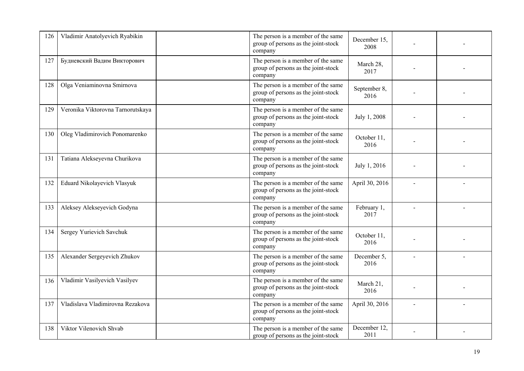| 126 | Vladimir Anatolyevich Ryabikin    | The person is a member of the same<br>group of persons as the joint-stock<br>company | December 15,<br>2008 |  |
|-----|-----------------------------------|--------------------------------------------------------------------------------------|----------------------|--|
| 127 | Будневский Вадим Викторович       | The person is a member of the same<br>group of persons as the joint-stock<br>company | March 28,<br>2017    |  |
| 128 | Olga Veniaminovna Smirnova        | The person is a member of the same<br>group of persons as the joint-stock<br>company | September 8,<br>2016 |  |
| 129 | Veronika Viktorovna Tarnorutskaya | The person is a member of the same<br>group of persons as the joint-stock<br>company | July 1, 2008         |  |
| 130 | Oleg Vladimirovich Ponomarenko    | The person is a member of the same<br>group of persons as the joint-stock<br>company | October 11,<br>2016  |  |
| 131 | Tatiana Alekseyevna Churikova     | The person is a member of the same<br>group of persons as the joint-stock<br>company | July 1, 2016         |  |
| 132 | Eduard Nikolayevich Vlasyuk       | The person is a member of the same<br>group of persons as the joint-stock<br>company | April 30, 2016       |  |
| 133 | Aleksey Alekseyevich Godyna       | The person is a member of the same<br>group of persons as the joint-stock<br>company | February 1,<br>2017  |  |
| 134 | Sergey Yurievich Savchuk          | The person is a member of the same<br>group of persons as the joint-stock<br>company | October 11,<br>2016  |  |
| 135 | Alexander Sergeyevich Zhukov      | The person is a member of the same<br>group of persons as the joint-stock<br>company | December 5,<br>2016  |  |
| 136 | Vladimir Vasilyevich Vasilyev     | The person is a member of the same<br>group of persons as the joint-stock<br>company | March 21,<br>2016    |  |
| 137 | Vladislava Vladimirovna Rezakova  | The person is a member of the same<br>group of persons as the joint-stock<br>company | April 30, 2016       |  |
| 138 | Viktor Vilenovich Shvab           | The person is a member of the same<br>group of persons as the joint-stock            | December 12,<br>2011 |  |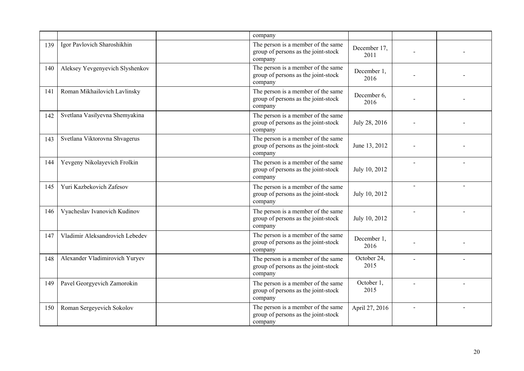|     |                                 | company                                                                              |                      |  |
|-----|---------------------------------|--------------------------------------------------------------------------------------|----------------------|--|
| 139 | Igor Pavlovich Sharoshikhin     | The person is a member of the same<br>group of persons as the joint-stock<br>company | December 17,<br>2011 |  |
| 140 | Aleksey Yevgenyevich Slyshenkov | The person is a member of the same<br>group of persons as the joint-stock<br>company | December 1,<br>2016  |  |
| 141 | Roman Mikhailovich Lavlinsky    | The person is a member of the same<br>group of persons as the joint-stock<br>company | December 6,<br>2016  |  |
| 142 | Svetlana Vasilyevna Shemyakina  | The person is a member of the same<br>group of persons as the joint-stock<br>company | July 28, 2016        |  |
| 143 | Svetlana Viktorovna Shvagerus   | The person is a member of the same<br>group of persons as the joint-stock<br>company | June 13, 2012        |  |
| 144 | Yevgeny Nikolayevich Frolkin    | The person is a member of the same<br>group of persons as the joint-stock<br>company | July 10, 2012        |  |
| 145 | Yuri Kazbekovich Zafesov        | The person is a member of the same<br>group of persons as the joint-stock<br>company | July 10, 2012        |  |
| 146 | Vyacheslav Ivanovich Kudinov    | The person is a member of the same<br>group of persons as the joint-stock<br>company | July 10, 2012        |  |
| 147 | Vladimir Aleksandrovich Lebedev | The person is a member of the same<br>group of persons as the joint-stock<br>company | December 1,<br>2016  |  |
| 148 | Alexander Vladimirovich Yuryev  | The person is a member of the same<br>group of persons as the joint-stock<br>company | October 24,<br>2015  |  |
| 149 | Pavel Georgyevich Zamorokin     | The person is a member of the same<br>group of persons as the joint-stock<br>company | October 1,<br>2015   |  |
| 150 | Roman Sergeyevich Sokolov       | The person is a member of the same<br>group of persons as the joint-stock<br>company | April 27, 2016       |  |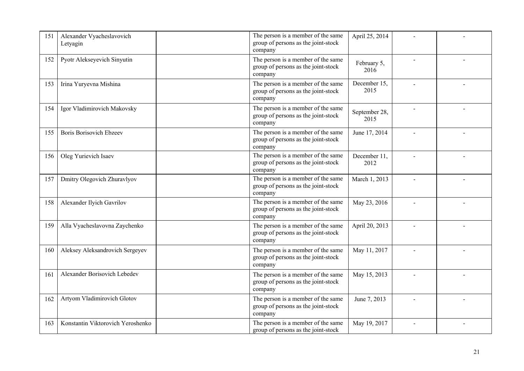| 151 | Alexander Vyacheslavovich<br>Letyagin | The person is a member of the same<br>group of persons as the joint-stock<br>company | April 25, 2014        |  |
|-----|---------------------------------------|--------------------------------------------------------------------------------------|-----------------------|--|
| 152 | Pyotr Alekseyevich Sinyutin           | The person is a member of the same<br>group of persons as the joint-stock<br>company | February 5,<br>2016   |  |
| 153 | Irina Yuryevna Mishina                | The person is a member of the same<br>group of persons as the joint-stock<br>company | December 15,<br>2015  |  |
| 154 | Igor Vladimirovich Makovsky           | The person is a member of the same<br>group of persons as the joint-stock<br>company | September 28,<br>2015 |  |
| 155 | <b>Boris Borisovich Ebzeev</b>        | The person is a member of the same<br>group of persons as the joint-stock<br>company | June 17, 2014         |  |
| 156 | Oleg Yurievich Isaev                  | The person is a member of the same<br>group of persons as the joint-stock<br>company | December 11,<br>2012  |  |
| 157 | Dmitry Olegovich Zhuravlyov           | The person is a member of the same<br>group of persons as the joint-stock<br>company | March 1, 2013         |  |
| 158 | Alexander Ilyich Gavrilov             | The person is a member of the same<br>group of persons as the joint-stock<br>company | May 23, 2016          |  |
| 159 | Alla Vyacheslavovna Zaychenko         | The person is a member of the same<br>group of persons as the joint-stock<br>company | April 20, 2013        |  |
| 160 | Aleksey Aleksandrovich Sergeyev       | The person is a member of the same<br>group of persons as the joint-stock<br>company | May 11, 2017          |  |
| 161 | Alexander Borisovich Lebedev          | The person is a member of the same<br>group of persons as the joint-stock<br>company | May 15, 2013          |  |
| 162 | Artyom Vladimirovich Glotov           | The person is a member of the same<br>group of persons as the joint-stock<br>company | June 7, 2013          |  |
| 163 | Konstantin Viktorovich Yeroshenko     | The person is a member of the same<br>group of persons as the joint-stock            | May 19, 2017          |  |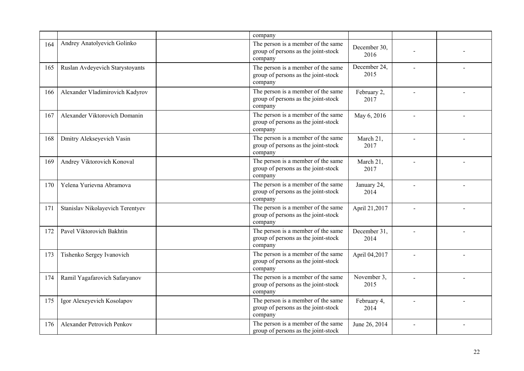|     |                                   | company                                                                              |                      |  |
|-----|-----------------------------------|--------------------------------------------------------------------------------------|----------------------|--|
| 164 | Andrey Anatolyevich Golinko       | The person is a member of the same<br>group of persons as the joint-stock<br>company | December 30.<br>2016 |  |
| 165 | Ruslan Avdeyevich Starystoyants   | The person is a member of the same<br>group of persons as the joint-stock<br>company | December 24,<br>2015 |  |
| 166 | Alexander Vladimirovich Kadyrov   | The person is a member of the same<br>group of persons as the joint-stock<br>company | February 2,<br>2017  |  |
| 167 | Alexander Viktorovich Domanin     | The person is a member of the same<br>group of persons as the joint-stock<br>company | May 6, 2016          |  |
| 168 | Dmitry Alekseyevich Vasin         | The person is a member of the same<br>group of persons as the joint-stock<br>company | March 21,<br>2017    |  |
| 169 | Andrey Viktorovich Konoval        | The person is a member of the same<br>group of persons as the joint-stock<br>company | March 21,<br>2017    |  |
| 170 | Yelena Yurievna Abramova          | The person is a member of the same<br>group of persons as the joint-stock<br>company | January 24,<br>2014  |  |
| 171 | Stanislav Nikolayevich Terentyev  | The person is a member of the same<br>group of persons as the joint-stock<br>company | April 21,2017        |  |
| 172 | Pavel Viktorovich Bakhtin         | The person is a member of the same<br>group of persons as the joint-stock<br>company | December 31,<br>2014 |  |
| 173 | Tishenko Sergey Ivanovich         | The person is a member of the same<br>group of persons as the joint-stock<br>company | April 04,2017        |  |
| 174 | Ramil Yagafarovich Safaryanov     | The person is a member of the same<br>group of persons as the joint-stock<br>company | November 3,<br>2015  |  |
| 175 | Igor Alexeyevich Kosolapov        | The person is a member of the same<br>group of persons as the joint-stock<br>company | February 4,<br>2014  |  |
| 176 | <b>Alexander Petrovich Penkov</b> | The person is a member of the same<br>group of persons as the joint-stock            | June 26, 2014        |  |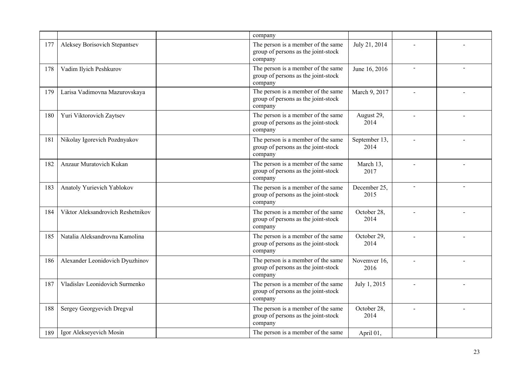|     |                                   | company                                                                              |                       |  |
|-----|-----------------------------------|--------------------------------------------------------------------------------------|-----------------------|--|
| 177 | Aleksey Borisovich Stepantsev     | The person is a member of the same<br>group of persons as the joint-stock<br>company | July 21, 2014         |  |
| 178 | Vadim Ilyich Peshkurov            | The person is a member of the same<br>group of persons as the joint-stock<br>company | June 16, 2016         |  |
| 179 | Larisa Vadimovna Mazurovskaya     | The person is a member of the same<br>group of persons as the joint-stock<br>company | March 9, 2017         |  |
| 180 | Yuri Viktorovich Zaytsev          | The person is a member of the same<br>group of persons as the joint-stock<br>company | August 29,<br>2014    |  |
| 181 | Nikolay Igorevich Pozdnyakov      | The person is a member of the same<br>group of persons as the joint-stock<br>company | September 13,<br>2014 |  |
| 182 | Anzaur Muratovich Kukan           | The person is a member of the same<br>group of persons as the joint-stock<br>company | March 13,<br>2017     |  |
| 183 | Anatoly Yurievich Yablokov        | The person is a member of the same<br>group of persons as the joint-stock<br>company | December 25,<br>2015  |  |
| 184 | Viktor Aleksandrovich Reshetnikov | The person is a member of the same<br>group of persons as the joint-stock<br>company | October 28,<br>2014   |  |
| 185 | Natalia Aleksandrovna Kamolina    | The person is a member of the same<br>group of persons as the joint-stock<br>company | October 29,<br>2014   |  |
| 186 | Alexander Leonidovich Dyuzhinov   | The person is a member of the same<br>group of persons as the joint-stock<br>company | Novemver 16,<br>2016  |  |
| 187 | Vladislav Leonidovich Surmenko    | The person is a member of the same<br>group of persons as the joint-stock<br>company | July 1, 2015          |  |
| 188 | Sergey Georgyevich Dregval        | The person is a member of the same<br>group of persons as the joint-stock<br>company | October 28,<br>2014   |  |
| 189 | Igor Alekseyevich Mosin           | The person is a member of the same                                                   | April 01,             |  |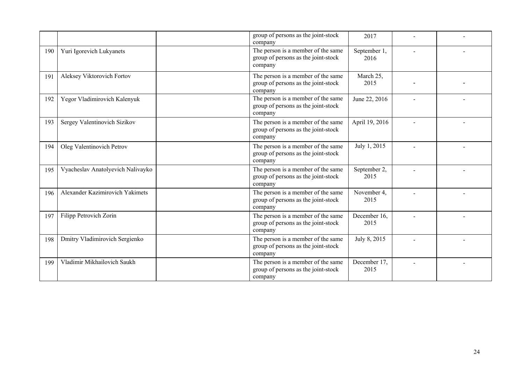|     |                                   | group of persons as the joint-stock<br>company                                       | 2017                 |  |
|-----|-----------------------------------|--------------------------------------------------------------------------------------|----------------------|--|
| 190 | Yuri Igorevich Lukyanets          | The person is a member of the same<br>group of persons as the joint-stock<br>company | September 1,<br>2016 |  |
| 191 | Aleksey Viktorovich Fortov        | The person is a member of the same<br>group of persons as the joint-stock<br>company | March 25,<br>2015    |  |
| 192 | Yegor Vladimirovich Kalenyuk      | The person is a member of the same<br>group of persons as the joint-stock<br>company | June 22, 2016        |  |
| 193 | Sergey Valentinovich Sizikov      | The person is a member of the same<br>group of persons as the joint-stock<br>company | April 19, 2016       |  |
| 194 | Oleg Valentinovich Petrov         | The person is a member of the same<br>group of persons as the joint-stock<br>company | July 1, 2015         |  |
| 195 | Vyacheslav Anatolyevich Nalivayko | The person is a member of the same<br>group of persons as the joint-stock<br>company | September 2,<br>2015 |  |
| 196 | Alexander Kazimirovich Yakimets   | The person is a member of the same<br>group of persons as the joint-stock<br>company | November 4,<br>2015  |  |
| 197 | Filipp Petrovich Zorin            | The person is a member of the same<br>group of persons as the joint-stock<br>company | December 16,<br>2015 |  |
| 198 | Dmitry Vladimirovich Sergienko    | The person is a member of the same<br>group of persons as the joint-stock<br>company | July 8, 2015         |  |
| 199 | Vladimir Mikhailovich Saukh       | The person is a member of the same<br>group of persons as the joint-stock<br>company | December 17,<br>2015 |  |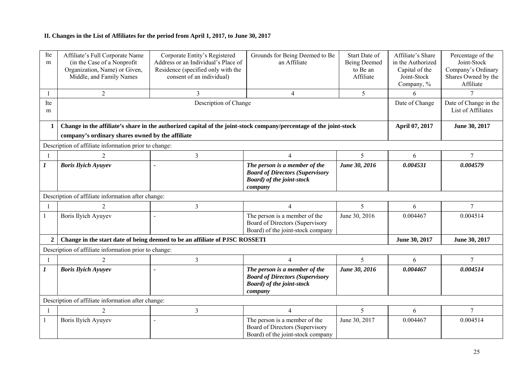## **II. Changes in the List of Affiliates for the period from April 1, 2017, to June 30, 2017**

| Ite<br>m         | Affiliate's Full Corporate Name<br>(in the Case of a Nonprofit<br>Organization, Name) or Given,<br>Middle, and Family Names | Corporate Entity's Registered<br>Address or an Individual's Place of<br>Residence (specified only with the<br>consent of an individual) | Grounds for Being Deemed to Be<br>an Affiliate                                                                          | Start Date of<br><b>Being Deemed</b><br>to Be an<br>Affiliate | Affiliate's Share<br>in the Authorized<br>Capital of the<br>Joint-Stock<br>Company, % | Percentage of the<br>Joint-Stock<br>Company's Ordinary<br>Shares Owned by the<br>Affiliate |  |  |
|------------------|-----------------------------------------------------------------------------------------------------------------------------|-----------------------------------------------------------------------------------------------------------------------------------------|-------------------------------------------------------------------------------------------------------------------------|---------------------------------------------------------------|---------------------------------------------------------------------------------------|--------------------------------------------------------------------------------------------|--|--|
|                  | $\overline{2}$                                                                                                              | 3                                                                                                                                       | $\overline{4}$                                                                                                          | 5                                                             | 6                                                                                     |                                                                                            |  |  |
| Ite<br>m         |                                                                                                                             |                                                                                                                                         | Date of Change                                                                                                          | Date of Change in the<br>List of Affiliates                   |                                                                                       |                                                                                            |  |  |
| $\mathbf{1}$     |                                                                                                                             | Change in the affiliate's share in the authorized capital of the joint-stock company/percentage of the joint-stock                      |                                                                                                                         |                                                               | April 07, 2017                                                                        | June 30, 2017                                                                              |  |  |
|                  | company's ordinary shares owned by the affiliate                                                                            |                                                                                                                                         |                                                                                                                         |                                                               |                                                                                       |                                                                                            |  |  |
|                  | Description of affiliate information prior to change:                                                                       |                                                                                                                                         |                                                                                                                         |                                                               |                                                                                       |                                                                                            |  |  |
|                  | 2                                                                                                                           | $\overline{3}$                                                                                                                          | 4                                                                                                                       | 5                                                             | 6                                                                                     | $\tau$                                                                                     |  |  |
| $\boldsymbol{l}$ | <b>Boris Ilyich Ayuyev</b>                                                                                                  |                                                                                                                                         | The person is a member of the<br><b>Board of Directors (Supervisory</b><br><b>Board</b> ) of the joint-stock<br>company | June 30, 2016                                                 | 0.004531                                                                              | 0.004579                                                                                   |  |  |
|                  | Description of affiliate information after change:                                                                          |                                                                                                                                         |                                                                                                                         |                                                               |                                                                                       |                                                                                            |  |  |
|                  | 2                                                                                                                           | $\overline{3}$                                                                                                                          | $\overline{4}$                                                                                                          | 5                                                             | 6                                                                                     | $\overline{7}$                                                                             |  |  |
| $\mathbf{1}$     | <b>Boris Ilyich Ayuyev</b>                                                                                                  | $\sim$                                                                                                                                  | The person is a member of the<br>Board of Directors (Supervisory<br>Board) of the joint-stock company                   | June 30, 2016                                                 | 0.004467                                                                              | 0.004514                                                                                   |  |  |
| $\mathbf{2}$     |                                                                                                                             | Change in the start date of being deemed to be an affiliate of PJSC ROSSETI                                                             |                                                                                                                         |                                                               | June 30, 2017                                                                         | June 30, 2017                                                                              |  |  |
|                  | Description of affiliate information prior to change:                                                                       |                                                                                                                                         |                                                                                                                         |                                                               |                                                                                       |                                                                                            |  |  |
|                  | $\overline{2}$                                                                                                              | 3                                                                                                                                       | $\overline{4}$                                                                                                          | 5                                                             | 6                                                                                     | $\tau$                                                                                     |  |  |
| $\boldsymbol{I}$ | <b>Boris Ilyich Ayuyev</b>                                                                                                  |                                                                                                                                         | The person is a member of the<br><b>Board of Directors (Supervisory</b><br><b>Board</b> ) of the joint-stock<br>company | June 30, 2016                                                 | 0.004467                                                                              | 0.004514                                                                                   |  |  |
|                  | Description of affiliate information after change:                                                                          |                                                                                                                                         |                                                                                                                         |                                                               |                                                                                       |                                                                                            |  |  |
| -1               | $\overline{2}$                                                                                                              | $\overline{\mathbf{3}}$                                                                                                                 | $\overline{4}$                                                                                                          | 5                                                             | 6                                                                                     | $7\phantom{.0}$                                                                            |  |  |
| 1                | <b>Boris Ilyich Ayuyev</b>                                                                                                  | $\sim$                                                                                                                                  | The person is a member of the<br>Board of Directors (Supervisory<br>Board) of the joint-stock company                   | June 30, 2017                                                 | 0.004467                                                                              | 0.004514                                                                                   |  |  |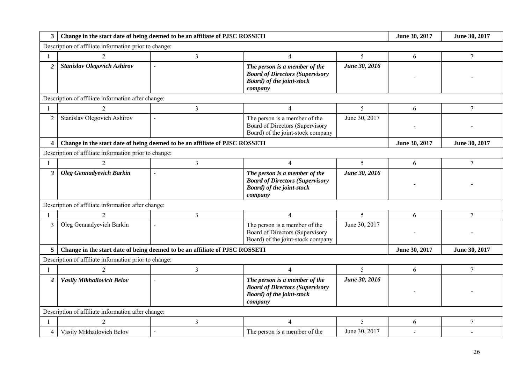| 3                       | Change in the start date of being deemed to be an affiliate of PJSC ROSSETI |                                                                             | June 30, 2017                                                                                                           | June 30, 2017  |               |                |  |  |  |
|-------------------------|-----------------------------------------------------------------------------|-----------------------------------------------------------------------------|-------------------------------------------------------------------------------------------------------------------------|----------------|---------------|----------------|--|--|--|
|                         | Description of affiliate information prior to change:                       |                                                                             |                                                                                                                         |                |               |                |  |  |  |
|                         | $\overline{2}$                                                              | 3                                                                           | $\overline{4}$                                                                                                          | 5              | 6             | $\overline{7}$ |  |  |  |
| $\overline{2}$          | <b>Stanislav Olegovich Ashirov</b>                                          |                                                                             | The person is a member of the<br><b>Board of Directors (Supervisory</b><br><b>Board</b> ) of the joint-stock<br>company | June 30, 2016  |               |                |  |  |  |
|                         | Description of affiliate information after change:                          |                                                                             |                                                                                                                         |                |               |                |  |  |  |
|                         |                                                                             | $\overline{3}$                                                              | 4                                                                                                                       | 5              | 6             | $\tau$         |  |  |  |
| $\overline{2}$          | Stanislav Olegovich Ashirov                                                 | $\mathbf{r}$                                                                | The person is a member of the<br>Board of Directors (Supervisory<br>Board) of the joint-stock company                   | June 30, 2017  |               |                |  |  |  |
| $\overline{\mathbf{4}}$ |                                                                             | Change in the start date of being deemed to be an affiliate of PJSC ROSSETI |                                                                                                                         |                | June 30, 2017 | June 30, 2017  |  |  |  |
|                         | Description of affiliate information prior to change:                       |                                                                             |                                                                                                                         |                |               |                |  |  |  |
|                         | $\overline{c}$                                                              | 3                                                                           | $\overline{4}$                                                                                                          | 5              | 6             | $\tau$         |  |  |  |
| 3 <sup>1</sup>          | <b>Oleg Gennadyevich Barkin</b>                                             |                                                                             | The person is a member of the<br><b>Board of Directors (Supervisory</b><br><b>Board</b> ) of the joint-stock<br>company | June 30, 2016  |               |                |  |  |  |
|                         | Description of affiliate information after change:                          |                                                                             |                                                                                                                         |                |               |                |  |  |  |
|                         |                                                                             | $\overline{3}$                                                              | 4                                                                                                                       | $\mathfrak{S}$ | 6             | 7              |  |  |  |
| 3                       | Oleg Gennadyevich Barkin                                                    | $\overline{\phantom{a}}$                                                    | The person is a member of the<br>Board of Directors (Supervisory<br>Board) of the joint-stock company                   | June 30, 2017  |               |                |  |  |  |
| 5 <sup>1</sup>          |                                                                             | Change in the start date of being deemed to be an affiliate of PJSC ROSSETI |                                                                                                                         |                | June 30, 2017 | June 30, 2017  |  |  |  |
|                         | Description of affiliate information prior to change:                       |                                                                             |                                                                                                                         |                |               |                |  |  |  |
|                         | $\overline{2}$                                                              | 3                                                                           | $\overline{4}$                                                                                                          | 5              | 6             | $\overline{7}$ |  |  |  |
| 4                       | Vasily Mikhailovich Belov                                                   |                                                                             | The person is a member of the<br><b>Board of Directors (Supervisory</b><br><b>Board</b> ) of the joint-stock<br>company | June 30, 2016  |               |                |  |  |  |
|                         | Description of affiliate information after change:                          |                                                                             |                                                                                                                         |                |               |                |  |  |  |
|                         | $\overline{2}$                                                              | $\overline{3}$                                                              | $\overline{4}$                                                                                                          | 5              | 6             | $\overline{7}$ |  |  |  |
| $\overline{4}$          | Vasily Mikhailovich Belov                                                   | $\mathbf{r}$                                                                | The person is a member of the                                                                                           | June 30, 2017  |               |                |  |  |  |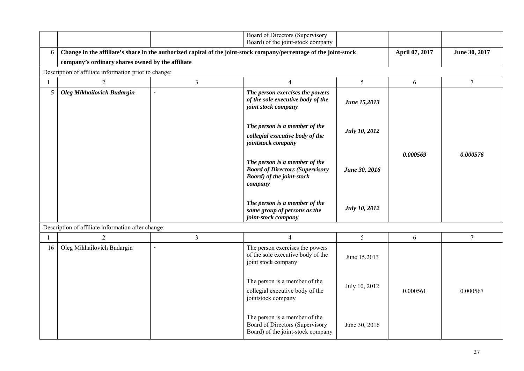|                |                                                       |                          | Board of Directors (Supervisory<br>Board) of the joint-stock company                                                    |                      |                |                 |
|----------------|-------------------------------------------------------|--------------------------|-------------------------------------------------------------------------------------------------------------------------|----------------------|----------------|-----------------|
| 6              |                                                       |                          | Change in the affiliate's share in the authorized capital of the joint-stock company/percentage of the joint-stock      |                      | April 07, 2017 | June 30, 2017   |
|                | company's ordinary shares owned by the affiliate      |                          |                                                                                                                         |                      |                |                 |
|                | Description of affiliate information prior to change: |                          |                                                                                                                         |                      |                |                 |
|                | $\overline{2}$                                        | $\overline{3}$           | $\overline{4}$                                                                                                          | 5                    | 6              | $7\phantom{.0}$ |
| 5              | <b>Oleg Mikhailovich Budargin</b>                     | $\overline{\phantom{a}}$ | The person exercises the powers<br>of the sole executive body of the<br>joint stock company                             | June 15,2013         |                |                 |
|                |                                                       |                          | The person is a member of the<br>collegial executive body of the<br>jointstock company                                  | July 10, 2012        |                |                 |
|                |                                                       |                          | The person is a member of the<br><b>Board of Directors (Supervisory</b><br><b>Board</b> ) of the joint-stock<br>company | June 30, 2016        | 0.000569       | 0.000576        |
|                |                                                       |                          | The person is a member of the<br>same group of persons as the<br>joint-stock company                                    | <b>July 10, 2012</b> |                |                 |
|                | Description of affiliate information after change:    |                          |                                                                                                                         |                      |                |                 |
| $\overline{1}$ | $\overline{2}$                                        | $\mathfrak{Z}$           | $\overline{4}$                                                                                                          | 5                    | 6              | $\tau$          |
| 16             | Oleg Mikhailovich Budargin                            | $\overline{a}$           | The person exercises the powers<br>of the sole executive body of the<br>joint stock company                             | June 15,2013         |                |                 |
|                |                                                       |                          | The person is a member of the<br>collegial executive body of the<br>jointstock company                                  | July 10, 2012        | 0.000561       | 0.000567        |
|                |                                                       |                          | The person is a member of the<br>Board of Directors (Supervisory<br>Board) of the joint-stock company                   | June 30, 2016        |                |                 |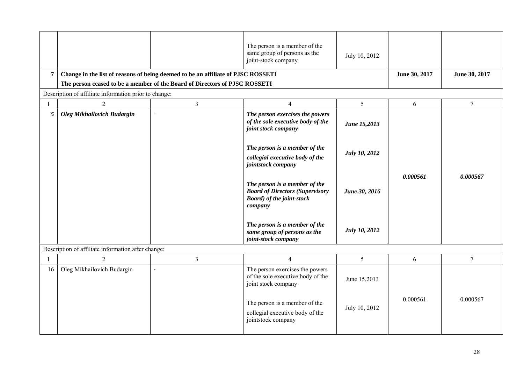|                |                                                       |                                                                                  | The person is a member of the<br>same group of persons as the<br>joint-stock company                                         | July 10, 2012                 |               |                |  |  |
|----------------|-------------------------------------------------------|----------------------------------------------------------------------------------|------------------------------------------------------------------------------------------------------------------------------|-------------------------------|---------------|----------------|--|--|
| 7              |                                                       | Change in the list of reasons of being deemed to be an affiliate of PJSC ROSSETI |                                                                                                                              |                               | June 30, 2017 | June 30, 2017  |  |  |
|                |                                                       | The person ceased to be a member of the Board of Directors of PJSC ROSSETI       |                                                                                                                              |                               |               |                |  |  |
|                | Description of affiliate information prior to change: |                                                                                  |                                                                                                                              |                               |               |                |  |  |
| $\overline{1}$ | $\overline{2}$                                        | $\overline{3}$                                                                   | $\overline{4}$                                                                                                               | 5                             | 6             | $\tau$         |  |  |
| 5 <sup>5</sup> | Oleg Mikhailovich Budargin                            | $\tilde{\phantom{a}}$                                                            | The person exercises the powers<br>of the sole executive body of the<br>joint stock company                                  | June 15,2013                  |               |                |  |  |
|                |                                                       |                                                                                  | The person is a member of the<br>collegial executive body of the<br>jointstock company                                       | July 10, 2012                 |               |                |  |  |
|                |                                                       |                                                                                  | The person is a member of the<br><b>Board of Directors (Supervisory</b><br><b>Board</b> ) of the joint-stock<br>company      | June 30, 2016                 | 0.000561      | 0.000567       |  |  |
|                |                                                       |                                                                                  | The person is a member of the<br>same group of persons as the<br>joint-stock company                                         | <b>July 10, 2012</b>          |               |                |  |  |
|                | Description of affiliate information after change:    |                                                                                  |                                                                                                                              |                               |               |                |  |  |
| $\overline{1}$ | $\overline{2}$                                        | $\overline{3}$                                                                   | $\overline{4}$                                                                                                               | 5 <sup>5</sup>                | 6             | $\overline{7}$ |  |  |
| 16             | Oleg Mikhailovich Budargin                            | $\overline{a}$                                                                   | The person exercises the powers<br>of the sole executive body of the<br>joint stock company<br>The person is a member of the | June 15,2013<br>July 10, 2012 | 0.000561      | 0.000567       |  |  |
|                |                                                       |                                                                                  | collegial executive body of the<br>jointstock company                                                                        |                               |               |                |  |  |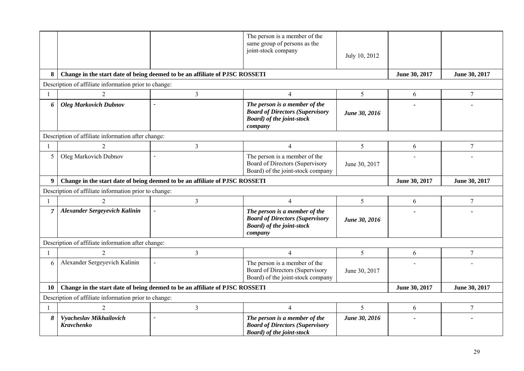|              |                                                       |                                                                             | The person is a member of the<br>same group of persons as the<br>joint-stock company                                    | July 10, 2012  |               |                |
|--------------|-------------------------------------------------------|-----------------------------------------------------------------------------|-------------------------------------------------------------------------------------------------------------------------|----------------|---------------|----------------|
| 8            |                                                       | Change in the start date of being deemed to be an affiliate of PJSC ROSSETI |                                                                                                                         |                | June 30, 2017 | June 30, 2017  |
|              | Description of affiliate information prior to change: |                                                                             |                                                                                                                         |                |               |                |
|              | $\overline{2}$                                        | $\overline{3}$                                                              | $\overline{4}$                                                                                                          | 5              | 6             | $\overline{7}$ |
| 6            | <b>Oleg Markovich Dubnov</b>                          |                                                                             | The person is a member of the<br><b>Board of Directors (Supervisory</b><br><b>Board</b> ) of the joint-stock<br>company | June 30, 2016  |               |                |
|              | Description of affiliate information after change:    |                                                                             |                                                                                                                         |                |               |                |
| $\mathbf{1}$ | $\overline{2}$                                        | 3                                                                           | $\overline{4}$                                                                                                          | 5              | 6             | $\overline{7}$ |
| 5            | Oleg Markovich Dubnov                                 |                                                                             | The person is a member of the<br>Board of Directors (Supervisory<br>Board) of the joint-stock company                   | June 30, 2017  |               |                |
| 9            |                                                       | Change in the start date of being deemed to be an affiliate of PJSC ROSSETI |                                                                                                                         |                | June 30, 2017 | June 30, 2017  |
|              | Description of affiliate information prior to change: |                                                                             |                                                                                                                         |                |               |                |
|              | $\overline{2}$                                        | $\overline{\mathbf{3}}$                                                     | $\overline{4}$                                                                                                          | 5              | 6             | $\overline{7}$ |
| 7            | <b>Alexander Sergeyevich Kalinin</b>                  |                                                                             | The person is a member of the<br><b>Board of Directors (Supervisory</b><br><b>Board</b> ) of the joint-stock<br>company | June 30, 2016  |               |                |
|              | Description of affiliate information after change:    |                                                                             |                                                                                                                         |                |               |                |
|              | $\overline{2}$                                        | $\overline{3}$                                                              | $\overline{4}$                                                                                                          | $\mathfrak{S}$ | 6             | $\overline{7}$ |
| 6            | Alexander Sergeyevich Kalinin                         | $\overline{a}$                                                              | The person is a member of the<br>Board of Directors (Supervisory<br>Board) of the joint-stock company                   | June 30, 2017  |               |                |
| 10           |                                                       | Change in the start date of being deemed to be an affiliate of PJSC ROSSETI |                                                                                                                         |                | June 30, 2017 | June 30, 2017  |
|              | Description of affiliate information prior to change: |                                                                             |                                                                                                                         |                |               |                |
| 1            | $\overline{c}$                                        | $\overline{3}$                                                              | $\overline{4}$                                                                                                          | 5              | 6             | 7              |
| 8            | Vyacheslav Mikhailovich<br>Kravchenko                 |                                                                             | The person is a member of the<br><b>Board of Directors (Supervisory</b><br><b>Board</b> ) of the joint-stock            | June 30, 2016  |               |                |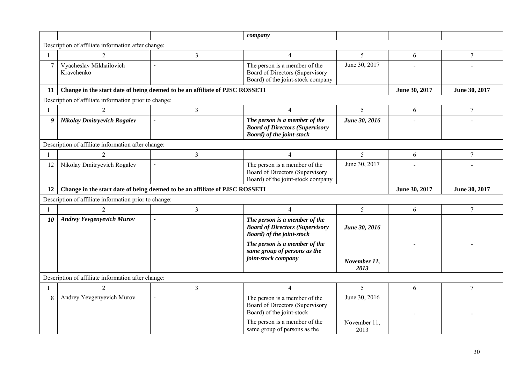|              |                                                       |                                                                             | company                                                                                                      |                      |               |                |
|--------------|-------------------------------------------------------|-----------------------------------------------------------------------------|--------------------------------------------------------------------------------------------------------------|----------------------|---------------|----------------|
|              | Description of affiliate information after change:    |                                                                             |                                                                                                              |                      |               |                |
|              | $\overline{2}$                                        | 3                                                                           | $\overline{4}$                                                                                               | $\mathfrak{S}$       | 6             | $\tau$         |
| 7            | Vyacheslav Mikhailovich<br>Kravchenko                 |                                                                             | The person is a member of the<br>Board of Directors (Supervisory<br>Board) of the joint-stock company        | June 30, 2017        |               |                |
| 11           |                                                       | Change in the start date of being deemed to be an affiliate of PJSC ROSSETI |                                                                                                              |                      | June 30, 2017 | June 30, 2017  |
|              | Description of affiliate information prior to change: |                                                                             |                                                                                                              |                      |               |                |
|              | $\overline{2}$                                        | $\overline{3}$                                                              | $\overline{4}$                                                                                               | 5                    | 6             | $\overline{7}$ |
| 9            | <b>Nikolay Dmitryevich Rogalev</b>                    | $\overline{\phantom{0}}$                                                    | The person is a member of the<br><b>Board of Directors (Supervisory</b><br><b>Board</b> ) of the joint-stock | June 30, 2016        |               |                |
|              | Description of affiliate information after change:    |                                                                             |                                                                                                              |                      |               |                |
|              | $\overline{2}$                                        | 3                                                                           | $\overline{4}$                                                                                               | $5\overline{)}$      | 6             | $\tau$         |
| 12           | Nikolay Dmitryevich Rogalev                           | $\overline{\phantom{a}}$                                                    | The person is a member of the<br>Board of Directors (Supervisory<br>Board) of the joint-stock company        | June 30, 2017        |               |                |
|              |                                                       |                                                                             |                                                                                                              |                      |               |                |
| 12           |                                                       | Change in the start date of being deemed to be an affiliate of PJSC ROSSETI |                                                                                                              |                      | June 30, 2017 | June 30, 2017  |
|              | Description of affiliate information prior to change: |                                                                             |                                                                                                              |                      |               |                |
| $\mathbf{1}$ | $\overline{2}$                                        | $\overline{\mathbf{3}}$                                                     | $\overline{4}$                                                                                               | 5                    | 6             | $\overline{7}$ |
| 10           | <b>Andrey Yevgenyevich Murov</b>                      |                                                                             | The person is a member of the<br><b>Board of Directors (Supervisory</b><br><b>Board</b> ) of the joint-stock | June 30, 2016        |               |                |
|              |                                                       |                                                                             | The person is a member of the<br>same group of persons as the<br>joint-stock company                         | November 11,<br>2013 |               |                |
|              | Description of affiliate information after change:    |                                                                             |                                                                                                              |                      |               |                |
| -1           | $\overline{2}$                                        | 3                                                                           | $\overline{4}$                                                                                               | 5                    | 6             | $\tau$         |
| 8            | Andrey Yevgenyevich Murov                             | $\overline{a}$                                                              | The person is a member of the<br>Board of Directors (Supervisory<br>Board) of the joint-stock                | June 30, 2016        |               |                |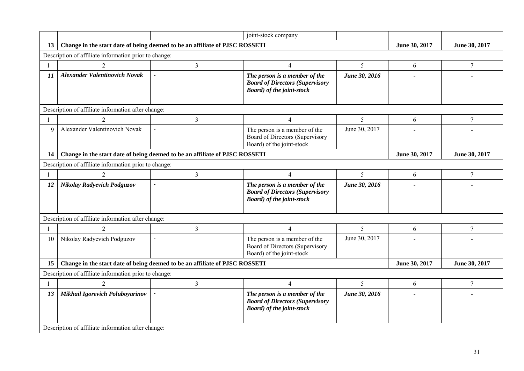|                                                       |                                                                             |                                                                             | joint-stock company                                                                                          |               |               |                |  |  |
|-------------------------------------------------------|-----------------------------------------------------------------------------|-----------------------------------------------------------------------------|--------------------------------------------------------------------------------------------------------------|---------------|---------------|----------------|--|--|
| 13 <sup>7</sup>                                       |                                                                             | Change in the start date of being deemed to be an affiliate of PJSC ROSSETI |                                                                                                              |               | June 30, 2017 | June 30, 2017  |  |  |
| Description of affiliate information prior to change: |                                                                             |                                                                             |                                                                                                              |               |               |                |  |  |
| $\mathbf{1}$                                          | 2                                                                           | $\overline{3}$                                                              | $\overline{4}$                                                                                               | 5             | 6             | $\overline{7}$ |  |  |
| 11                                                    | <b>Alexander Valentinovich Novak</b>                                        |                                                                             | The person is a member of the<br><b>Board of Directors (Supervisory</b><br><b>Board</b> ) of the joint-stock | June 30, 2016 |               |                |  |  |
|                                                       | Description of affiliate information after change:                          |                                                                             |                                                                                                              |               |               |                |  |  |
| -1                                                    | 2                                                                           | 3                                                                           | $\overline{4}$                                                                                               | 5             | 6             | $\tau$         |  |  |
| 9                                                     | Alexander Valentinovich Novak                                               | $\mathbf{r}$                                                                | The person is a member of the<br>Board of Directors (Supervisory<br>Board) of the joint-stock                | June 30, 2017 |               |                |  |  |
| 14                                                    | Change in the start date of being deemed to be an affiliate of PJSC ROSSETI |                                                                             | June 30, 2017                                                                                                | June 30, 2017 |               |                |  |  |
|                                                       | Description of affiliate information prior to change:                       |                                                                             |                                                                                                              |               |               |                |  |  |
|                                                       | $\overline{2}$                                                              | $\overline{3}$                                                              | $\overline{4}$                                                                                               | 5             | 6             | $\overline{7}$ |  |  |
| 12                                                    | Nikolay Radyevich Podguzov                                                  | $\overline{a}$                                                              | The person is a member of the<br><b>Board of Directors (Supervisory</b><br><b>Board</b> ) of the joint-stock | June 30, 2016 |               |                |  |  |
|                                                       | Description of affiliate information after change:                          |                                                                             |                                                                                                              |               |               |                |  |  |
| $\mathbf{1}$                                          | 2                                                                           | 3                                                                           | 4                                                                                                            | 5             | 6             | 7              |  |  |
| 10                                                    | Nikolay Radyevich Podguzov                                                  | $\mathbf{r}$                                                                | The person is a member of the<br>Board of Directors (Supervisory<br>Board) of the joint-stock                | June 30, 2017 |               |                |  |  |
| 15                                                    |                                                                             | Change in the start date of being deemed to be an affiliate of PJSC ROSSETI |                                                                                                              |               | June 30, 2017 | June 30, 2017  |  |  |
|                                                       | Description of affiliate information prior to change:                       |                                                                             |                                                                                                              |               |               |                |  |  |
| -1                                                    | $\overline{2}$                                                              | 3                                                                           | 4                                                                                                            | 5             | 6             | 7              |  |  |
| 13                                                    | Mikhail Igorevich Poluboyarinov                                             |                                                                             | The person is a member of the<br><b>Board of Directors (Supervisory</b><br><b>Board</b> ) of the joint-stock | June 30, 2016 |               |                |  |  |
|                                                       | Description of affiliate information after change:                          |                                                                             |                                                                                                              |               |               |                |  |  |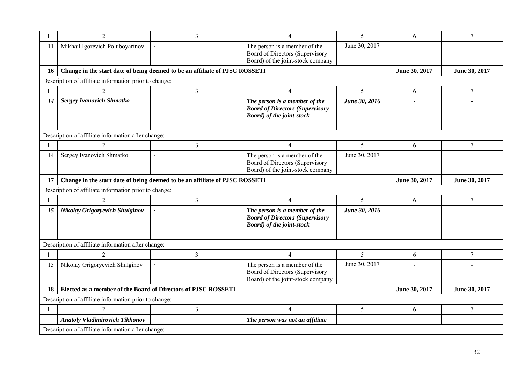|                | $\overline{2}$                                                              | 3                                                                           | 4                                                                                                            | 5             | 6             | 7             |  |  |  |
|----------------|-----------------------------------------------------------------------------|-----------------------------------------------------------------------------|--------------------------------------------------------------------------------------------------------------|---------------|---------------|---------------|--|--|--|
| -11            | Mikhail Igorevich Poluboyarinov                                             |                                                                             | The person is a member of the<br>Board of Directors (Supervisory<br>Board) of the joint-stock company        | June 30, 2017 |               |               |  |  |  |
| 16             |                                                                             | Change in the start date of being deemed to be an affiliate of PJSC ROSSETI |                                                                                                              |               | June 30, 2017 | June 30, 2017 |  |  |  |
|                | Description of affiliate information prior to change:                       |                                                                             |                                                                                                              |               |               |               |  |  |  |
|                | $\overline{2}$                                                              | $\overline{3}$                                                              | $\overline{4}$                                                                                               | 5             | 6             | $\tau$        |  |  |  |
| 14             | <b>Sergey Ivanovich Shmatko</b>                                             |                                                                             | The person is a member of the<br><b>Board of Directors (Supervisory</b><br><b>Board</b> ) of the joint-stock | June 30, 2016 |               |               |  |  |  |
|                | Description of affiliate information after change:                          |                                                                             |                                                                                                              |               |               |               |  |  |  |
| 1              | $\overline{2}$                                                              | 3                                                                           | 4                                                                                                            | 5             | 6             | $\tau$        |  |  |  |
| 14             | Sergey Ivanovich Shmatko                                                    |                                                                             | The person is a member of the<br>Board of Directors (Supervisory<br>Board) of the joint-stock company        | June 30, 2017 |               |               |  |  |  |
| 17             | Change in the start date of being deemed to be an affiliate of PJSC ROSSETI |                                                                             | June 30, 2017                                                                                                | June 30, 2017 |               |               |  |  |  |
|                | Description of affiliate information prior to change:                       |                                                                             |                                                                                                              |               |               |               |  |  |  |
|                | $\overline{2}$                                                              | $\mathfrak{Z}$                                                              | $\overline{4}$                                                                                               | 5             | 6             | $\tau$        |  |  |  |
| 15             | Nikolay Grigoryevich Shulginov                                              |                                                                             | The person is a member of the<br><b>Board of Directors (Supervisory</b><br><b>Board</b> ) of the joint-stock | June 30, 2016 |               |               |  |  |  |
|                | Description of affiliate information after change:                          |                                                                             |                                                                                                              |               |               |               |  |  |  |
| 1              |                                                                             | $\overline{3}$                                                              | 4                                                                                                            | 5             | 6             | $\tau$        |  |  |  |
| 15             | Nikolay Grigoryevich Shulginov                                              |                                                                             | The person is a member of the<br>Board of Directors (Supervisory<br>Board) of the joint-stock company        | June 30, 2017 |               |               |  |  |  |
| 18             | Elected as a member of the Board of Directors of PJSC ROSSETI               |                                                                             |                                                                                                              |               | June 30, 2017 | June 30, 2017 |  |  |  |
|                | Description of affiliate information prior to change:                       |                                                                             |                                                                                                              |               |               |               |  |  |  |
| $\overline{1}$ | $\overline{2}$                                                              | 3                                                                           | $\overline{4}$                                                                                               | 5             | 6             | $\tau$        |  |  |  |
|                | <b>Anatoly Vladimirovich Tikhonov</b>                                       |                                                                             | The person was not an affiliate                                                                              |               |               |               |  |  |  |
|                | Description of affiliate information after change:                          |                                                                             |                                                                                                              |               |               |               |  |  |  |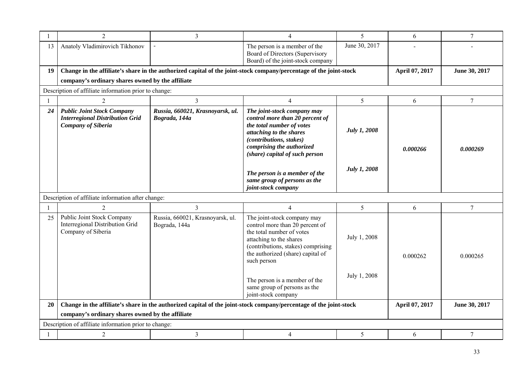|    | $\overline{2}$                                                                                           | $\overline{3}$                                    | $\overline{4}$                                                                                                                                                                                                   | 5                   | 6              | $\overline{7}$ |  |  |  |
|----|----------------------------------------------------------------------------------------------------------|---------------------------------------------------|------------------------------------------------------------------------------------------------------------------------------------------------------------------------------------------------------------------|---------------------|----------------|----------------|--|--|--|
| 13 | Anatoly Vladimirovich Tikhonov                                                                           |                                                   | The person is a member of the<br>Board of Directors (Supervisory<br>Board) of the joint-stock company                                                                                                            | June 30, 2017       |                |                |  |  |  |
| 19 |                                                                                                          |                                                   | Change in the affiliate's share in the authorized capital of the joint-stock company/percentage of the joint-stock                                                                                               |                     | April 07, 2017 | June 30, 2017  |  |  |  |
|    | company's ordinary shares owned by the affiliate                                                         |                                                   |                                                                                                                                                                                                                  |                     |                |                |  |  |  |
|    | Description of affiliate information prior to change:                                                    |                                                   |                                                                                                                                                                                                                  |                     |                |                |  |  |  |
|    | $\overline{2}$                                                                                           | $\overline{3}$                                    | $\overline{4}$                                                                                                                                                                                                   | 5                   | 6              | $\tau$         |  |  |  |
| 24 | <b>Public Joint Stock Company</b><br><b>Interregional Distribution Grid</b><br><b>Company of Siberia</b> | Russia, 660021, Krasnoyarsk, ul.<br>Bograda, 144a | The joint-stock company may<br>control more than 20 percent of<br>the total number of votes<br>attaching to the shares<br>(contributions, stakes)<br>comprising the authorized<br>(share) capital of such person | <b>July 1, 2008</b> | 0.000266       | 0.000269       |  |  |  |
|    |                                                                                                          |                                                   | The person is a member of the<br>same group of persons as the<br>joint-stock company                                                                                                                             | July 1, 2008        |                |                |  |  |  |
|    | Description of affiliate information after change:                                                       |                                                   |                                                                                                                                                                                                                  |                     |                |                |  |  |  |
|    | $\mathcal{D}_{\mathcal{L}}$                                                                              | $\overline{3}$                                    | $\overline{4}$                                                                                                                                                                                                   | 5                   | 6              | $\overline{7}$ |  |  |  |
| 25 | Public Joint Stock Company<br>Interregional Distribution Grid<br>Company of Siberia                      | Russia, 660021, Krasnoyarsk, ul.<br>Bograda, 144a | The joint-stock company may<br>control more than 20 percent of<br>the total number of votes<br>attaching to the shares<br>(contributions, stakes) comprising<br>the authorized (share) capital of<br>such person | July 1, 2008        | 0.000262       | 0.000265       |  |  |  |
|    |                                                                                                          |                                                   | The person is a member of the<br>same group of persons as the<br>joint-stock company                                                                                                                             | July 1, 2008        |                |                |  |  |  |
| 20 |                                                                                                          |                                                   | Change in the affiliate's share in the authorized capital of the joint-stock company/percentage of the joint-stock                                                                                               |                     | April 07, 2017 | June 30, 2017  |  |  |  |
|    | company's ordinary shares owned by the affiliate                                                         |                                                   |                                                                                                                                                                                                                  |                     |                |                |  |  |  |
|    | Description of affiliate information prior to change:                                                    |                                                   |                                                                                                                                                                                                                  |                     |                |                |  |  |  |
|    | $\overline{2}$                                                                                           | $\mathfrak{Z}$                                    | $\overline{4}$                                                                                                                                                                                                   | 5                   | 6              | $\tau$         |  |  |  |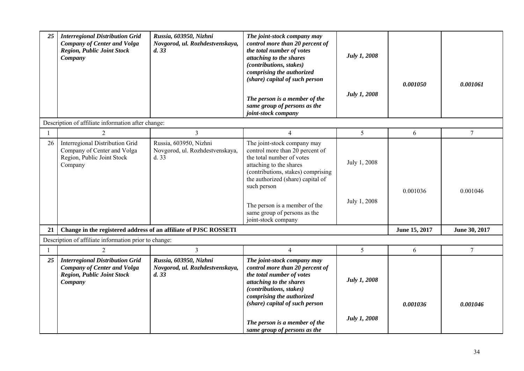| 25           | <b>Interregional Distribution Grid</b><br><b>Company of Center and Volga</b><br><b>Region, Public Joint Stock</b><br>Company | Russia, 603950, Nizhni<br>Novgorod, ul. Rozhdestvenskaya,<br>d.33  | The joint-stock company may<br>control more than 20 percent of<br>the total number of votes<br>attaching to the shares<br>(contributions, stakes)<br>comprising the authorized<br>(share) capital of such person<br>The person is a member of the<br>same group of persons as the<br>joint-stock company | July 1, 2008<br>July 1, 2008 | 0.001050      | 0.001061        |
|--------------|------------------------------------------------------------------------------------------------------------------------------|--------------------------------------------------------------------|----------------------------------------------------------------------------------------------------------------------------------------------------------------------------------------------------------------------------------------------------------------------------------------------------------|------------------------------|---------------|-----------------|
|              | Description of affiliate information after change:                                                                           |                                                                    |                                                                                                                                                                                                                                                                                                          |                              |               |                 |
| $\mathbf{1}$ | $\overline{2}$                                                                                                               | $\overline{3}$                                                     | $\overline{4}$                                                                                                                                                                                                                                                                                           | 5                            | 6             | $\tau$          |
| 26           | Interregional Distribution Grid<br>Company of Center and Volga<br>Region, Public Joint Stock<br>Company                      | Russia, 603950, Nizhni<br>Novgorod, ul. Rozhdestvenskaya,<br>d. 33 | The joint-stock company may<br>control more than 20 percent of<br>the total number of votes<br>attaching to the shares<br>(contributions, stakes) comprising<br>the authorized (share) capital of<br>such person<br>The person is a member of the<br>same group of persons as the<br>joint-stock company | July 1, 2008<br>July 1, 2008 | 0.001036      | 0.001046        |
| 21           |                                                                                                                              | Change in the registered address of an affiliate of PJSC ROSSETI   |                                                                                                                                                                                                                                                                                                          |                              | June 15, 2017 | June 30, 2017   |
|              | Description of affiliate information prior to change:                                                                        |                                                                    |                                                                                                                                                                                                                                                                                                          |                              |               |                 |
| $\mathbf{1}$ | $\overline{2}$                                                                                                               | $\overline{3}$                                                     | $\overline{4}$                                                                                                                                                                                                                                                                                           | 5                            | 6             | $7\phantom{.0}$ |
| 25           | <b>Interregional Distribution Grid</b><br><b>Company of Center and Volga</b><br><b>Region, Public Joint Stock</b><br>Company | Russia, 603950, Nizhni<br>Novgorod, ul. Rozhdestvenskaya,<br>d.33  | The joint-stock company may<br>control more than 20 percent of<br>the total number of votes<br>attaching to the shares<br>(contributions, stakes)<br>comprising the authorized<br>(share) capital of such person<br>The person is a member of the<br>same group of persons as the                        | July 1, 2008<br>July 1, 2008 | 0.001036      | 0.001046        |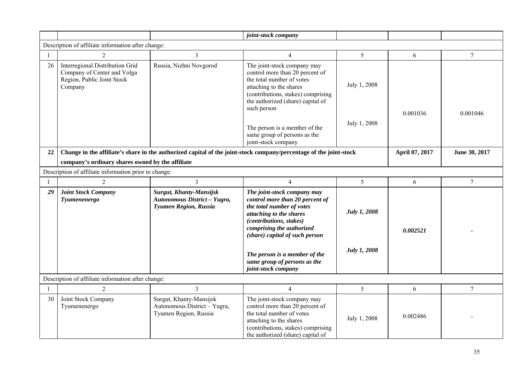|    |                                                                                                         |                                                                                  | joint-stock company                                                                                                                                                                                                                                                                                      |                              |                |                  |
|----|---------------------------------------------------------------------------------------------------------|----------------------------------------------------------------------------------|----------------------------------------------------------------------------------------------------------------------------------------------------------------------------------------------------------------------------------------------------------------------------------------------------------|------------------------------|----------------|------------------|
|    | Description of affiliate information after change:                                                      |                                                                                  |                                                                                                                                                                                                                                                                                                          |                              |                |                  |
|    | $\overline{2}$                                                                                          | 3                                                                                | $\overline{4}$                                                                                                                                                                                                                                                                                           | 5                            | 6              | $\overline{7}$   |
| 26 | Interregional Distribution Grid<br>Company of Center and Volga<br>Region, Public Joint Stock<br>Company | Russia, Nizhni Novgorod                                                          | The joint-stock company may<br>control more than 20 percent of<br>the total number of votes<br>attaching to the shares<br>(contributions, stakes) comprising<br>the authorized (share) capital of<br>such person<br>The person is a member of the<br>same group of persons as the<br>joint-stock company | July 1, 2008<br>July 1, 2008 | 0.001036       | 0.001046         |
| 22 |                                                                                                         |                                                                                  | Change in the affiliate's share in the authorized capital of the joint-stock company/percentage of the joint-stock                                                                                                                                                                                       |                              | April 07, 2017 | June 30, 2017    |
|    | company's ordinary shares owned by the affiliate                                                        |                                                                                  |                                                                                                                                                                                                                                                                                                          |                              |                |                  |
|    | Description of affiliate information prior to change:                                                   |                                                                                  |                                                                                                                                                                                                                                                                                                          |                              |                |                  |
|    | $\overline{2}$                                                                                          | $\overline{3}$                                                                   | 4                                                                                                                                                                                                                                                                                                        | 5                            | 6              | $\boldsymbol{7}$ |
| 29 | <b>Joint Stock Company</b><br>Tyumenenergo                                                              | Surgut, Khanty-Mansijsk<br>Autonomous District - Yugra,<br>Tyumen Region, Russia | The joint-stock company may<br>control more than 20 percent of<br>the total number of votes<br>attaching to the shares<br>(contributions, stakes)<br>comprising the authorized<br>(share) capital of such person                                                                                         | <b>July 1, 2008</b>          | 0.002521       |                  |
|    |                                                                                                         |                                                                                  | The person is a member of the<br>same group of persons as the<br>joint-stock company                                                                                                                                                                                                                     | July 1, 2008                 |                |                  |
|    | Description of affiliate information after change:                                                      |                                                                                  |                                                                                                                                                                                                                                                                                                          |                              |                |                  |
| 1  | $\overline{2}$                                                                                          | $\overline{3}$                                                                   | $\overline{4}$                                                                                                                                                                                                                                                                                           | 5                            | 6              | $\tau$           |
| 30 | Joint Stock Company<br>Tyumenenergo                                                                     | Surgut, Khanty-Mansijsk<br>Autonomous District - Yugra,<br>Tyumen Region, Russia | The joint-stock company may<br>control more than 20 percent of<br>the total number of votes<br>attaching to the shares<br>(contributions, stakes) comprising<br>the authorized (share) capital of                                                                                                        | July 1, 2008                 | 0.002486       |                  |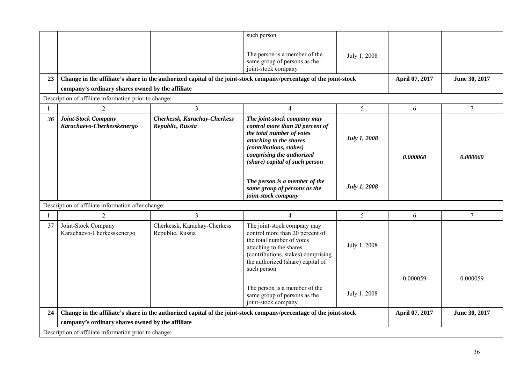|    |                                                       |                                                  | such person                                                                                                                                                                                                             |                     |                |                 |
|----|-------------------------------------------------------|--------------------------------------------------|-------------------------------------------------------------------------------------------------------------------------------------------------------------------------------------------------------------------------|---------------------|----------------|-----------------|
|    |                                                       |                                                  | The person is a member of the<br>same group of persons as the<br>joint-stock company                                                                                                                                    | July 1, 2008        |                |                 |
| 23 |                                                       |                                                  | Change in the affiliate's share in the authorized capital of the joint-stock company/percentage of the joint-stock                                                                                                      |                     | April 07, 2017 | June 30, 2017   |
|    | company's ordinary shares owned by the affiliate      |                                                  |                                                                                                                                                                                                                         |                     |                |                 |
|    | Description of affiliate information prior to change: |                                                  |                                                                                                                                                                                                                         |                     |                |                 |
|    | 2                                                     | 3                                                | 4                                                                                                                                                                                                                       | 5                   | 6              | $7\phantom{.0}$ |
| 36 | Joint-Stock Company<br>Karachaevo-Cherkesskenergo     | Cherkessk, Karachay-Cherkess<br>Republic, Russia | The joint-stock company may<br>control more than 20 percent of<br>the total number of votes<br>attaching to the shares<br><i>(contributions, stakes)</i><br>comprising the authorized<br>(share) capital of such person | <b>July 1, 2008</b> | 0.000060       | 0.000060        |
|    |                                                       |                                                  | The person is a member of the<br>same group of persons as the<br>joint-stock company                                                                                                                                    | <b>July 1, 2008</b> |                |                 |
|    | Description of affiliate information after change:    |                                                  |                                                                                                                                                                                                                         |                     |                |                 |
|    | $\overline{2}$                                        | 3                                                | $\overline{4}$                                                                                                                                                                                                          | 5                   | 6              | $\overline{7}$  |
| 37 | Joint-Stock Company<br>Karachaevo-Cherkesskenergo     | Cherkessk, Karachay-Cherkess<br>Republic, Russia | The joint-stock company may<br>control more than 20 percent of<br>the total number of votes<br>attaching to the shares<br>(contributions, stakes) comprising<br>the authorized (share) capital of<br>such person        | July 1, 2008        |                |                 |
|    |                                                       |                                                  | The person is a member of the<br>same group of persons as the<br>joint-stock company                                                                                                                                    | July 1, 2008        | 0.000059       | 0.000059        |
| 24 |                                                       |                                                  | Change in the affiliate's share in the authorized capital of the joint-stock company/percentage of the joint-stock                                                                                                      |                     | April 07, 2017 | June 30, 2017   |
|    | company's ordinary shares owned by the affiliate      |                                                  |                                                                                                                                                                                                                         |                     |                |                 |
|    | Description of affiliate information prior to change: |                                                  |                                                                                                                                                                                                                         |                     |                |                 |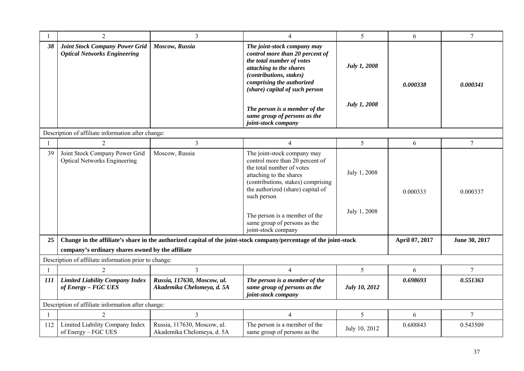|     | $\overline{2}$                                                               | 3                                                         | 4                                                                                                                                                                                                                                                                                                        | 5                            | 6              | $\overline{7}$ |
|-----|------------------------------------------------------------------------------|-----------------------------------------------------------|----------------------------------------------------------------------------------------------------------------------------------------------------------------------------------------------------------------------------------------------------------------------------------------------------------|------------------------------|----------------|----------------|
| 38  | <b>Joint Stock Company Power Grid</b><br><b>Optical Networks Engineering</b> | Moscow, Russia                                            | The joint-stock company may<br>control more than 20 percent of<br>the total number of votes<br>attaching to the shares<br>(contributions, stakes)<br>comprising the authorized<br>(share) capital of such person<br>The person is a member of the<br>same group of persons as the                        | July 1, 2008<br>July 1, 2008 | 0.000338       | 0.000341       |
|     |                                                                              |                                                           | joint-stock company                                                                                                                                                                                                                                                                                      |                              |                |                |
|     | Description of affiliate information after change:                           |                                                           |                                                                                                                                                                                                                                                                                                          |                              |                |                |
|     | $\overline{2}$                                                               | 3                                                         | $\overline{4}$                                                                                                                                                                                                                                                                                           | 5                            | 6              | $\overline{7}$ |
| 39  | Joint Stock Company Power Grid<br><b>Optical Networks Engineering</b>        | Moscow, Russia                                            | The joint-stock company may<br>control more than 20 percent of<br>the total number of votes<br>attaching to the shares<br>(contributions, stakes) comprising<br>the authorized (share) capital of<br>such person<br>The person is a member of the<br>same group of persons as the<br>joint-stock company | July 1, 2008<br>July 1, 2008 | 0.000333       | 0.000337       |
| 25  |                                                                              |                                                           | Change in the affiliate's share in the authorized capital of the joint-stock company/percentage of the joint-stock                                                                                                                                                                                       |                              | April 07, 2017 | June 30, 2017  |
|     | company's ordinary shares owned by the affiliate                             |                                                           |                                                                                                                                                                                                                                                                                                          |                              |                |                |
|     | Description of affiliate information prior to change:                        |                                                           |                                                                                                                                                                                                                                                                                                          |                              |                |                |
| -1  | $\overline{c}$                                                               | 3                                                         | 4                                                                                                                                                                                                                                                                                                        | 5                            | 6              | 7              |
| 111 | <b>Limited Liability Company Index</b><br>of Energy - FGC UES                | Russia, 117630, Moscow, ul.<br>Akademika Chelomeya, d. 5A | The person is a member of the<br>same group of persons as the<br>joint-stock company                                                                                                                                                                                                                     | <b>July 10, 2012</b>         | 0.698693       | 0.551363       |
|     | Description of affiliate information after change:                           |                                                           |                                                                                                                                                                                                                                                                                                          |                              |                |                |
|     | $\overline{2}$                                                               | 3                                                         | $\overline{4}$                                                                                                                                                                                                                                                                                           | 5                            | 6              | 7              |
| 112 | Limited Liability Company Index<br>of Energy – FGC UES                       | Russia, 117630, Moscow, ul.<br>Akademika Chelomeya, d. 5A | The person is a member of the<br>same group of persons as the                                                                                                                                                                                                                                            | July 10, 2012                | 0.688843       | 0.543509       |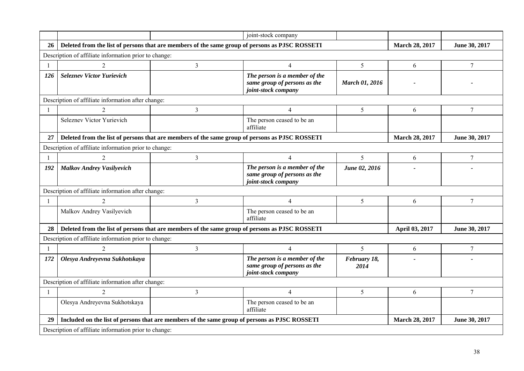|                |                                                                                                |                                                                                               | joint-stock company                                                                  |                       |                       |                  |  |  |
|----------------|------------------------------------------------------------------------------------------------|-----------------------------------------------------------------------------------------------|--------------------------------------------------------------------------------------|-----------------------|-----------------------|------------------|--|--|
| 26             | Deleted from the list of persons that are members of the same group of persons as PJSC ROSSETI |                                                                                               |                                                                                      |                       | <b>March 28, 2017</b> | June 30, 2017    |  |  |
|                | Description of affiliate information prior to change:                                          |                                                                                               |                                                                                      |                       |                       |                  |  |  |
| -1             | $\overline{2}$                                                                                 | $\overline{3}$                                                                                | $\overline{4}$                                                                       | 5 <sup>5</sup>        | 6                     | $\overline{7}$   |  |  |
| 126            | <b>Seleznev Victor Yurievich</b>                                                               |                                                                                               | The person is a member of the<br>same group of persons as the<br>joint-stock company | <b>March 01, 2016</b> |                       |                  |  |  |
|                | Description of affiliate information after change:                                             |                                                                                               |                                                                                      |                       |                       |                  |  |  |
| $\mathbf{1}$   | $\overline{2}$                                                                                 | 3                                                                                             | $\overline{4}$                                                                       | 5 <sup>5</sup>        | 6                     | $\tau$           |  |  |
|                | Seleznev Victor Yurievich                                                                      |                                                                                               | The person ceased to be an<br>affiliate                                              |                       |                       |                  |  |  |
| 27             | Deleted from the list of persons that are members of the same group of persons as PJSC ROSSETI |                                                                                               |                                                                                      |                       | <b>March 28, 2017</b> | June 30, 2017    |  |  |
|                | Description of affiliate information prior to change:                                          |                                                                                               |                                                                                      |                       |                       |                  |  |  |
|                | 2                                                                                              | 3                                                                                             | 4                                                                                    | 5                     | 6                     | 7                |  |  |
| 192            | <b>Malkov Andrey Vasilyevich</b>                                                               |                                                                                               | The person is a member of the<br>same group of persons as the<br>joint-stock company | June 02, 2016         |                       |                  |  |  |
|                | Description of affiliate information after change:                                             |                                                                                               |                                                                                      |                       |                       |                  |  |  |
| -1             | $\overline{2}$                                                                                 | 3                                                                                             | $\overline{4}$                                                                       | 5                     | 6                     | $\tau$           |  |  |
|                | Malkov Andrey Vasilyevich                                                                      |                                                                                               | The person ceased to be an<br>affiliate                                              |                       |                       |                  |  |  |
| 28             | Deleted from the list of persons that are members of the same group of persons as PJSC ROSSETI |                                                                                               |                                                                                      |                       | April 03, 2017        | June 30, 2017    |  |  |
|                | Description of affiliate information prior to change:                                          |                                                                                               |                                                                                      |                       |                       |                  |  |  |
| -1             | 2                                                                                              | $\overline{3}$                                                                                | $\overline{4}$                                                                       | 5 <sup>5</sup>        | 6                     | $\boldsymbol{7}$ |  |  |
| 172            | Olesya Andreyevna Sukhotskaya                                                                  |                                                                                               | The person is a member of the<br>same group of persons as the<br>joint-stock company | February 18,<br>2014  |                       |                  |  |  |
|                | Description of affiliate information after change:                                             |                                                                                               |                                                                                      |                       |                       |                  |  |  |
| $\overline{1}$ | 2                                                                                              | 3                                                                                             | $\overline{4}$                                                                       | 5                     | 6                     | 7                |  |  |
|                | Olesya Andreyevna Sukhotskaya                                                                  |                                                                                               | The person ceased to be an<br>affiliate                                              |                       |                       |                  |  |  |
| 29             |                                                                                                | Included on the list of persons that are members of the same group of persons as PJSC ROSSETI |                                                                                      |                       | <b>March 28, 2017</b> | June 30, 2017    |  |  |
|                | Description of affiliate information prior to change:                                          |                                                                                               |                                                                                      |                       |                       |                  |  |  |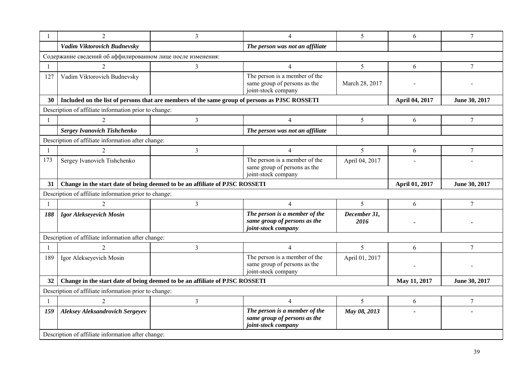|                                                                                   | 2                                                                                             | 3                                                                           | 4                                                                                    | 5                    | 6              | $\overline{7}$ |
|-----------------------------------------------------------------------------------|-----------------------------------------------------------------------------------------------|-----------------------------------------------------------------------------|--------------------------------------------------------------------------------------|----------------------|----------------|----------------|
|                                                                                   | Vadim Viktorovich Budnevsky                                                                   |                                                                             | The person was not an affiliate                                                      |                      |                |                |
|                                                                                   | Содержание сведений об аффилированном лице после изменения:                                   |                                                                             |                                                                                      |                      |                |                |
| $\mathbf{1}$                                                                      | 2                                                                                             | $\overline{3}$                                                              | $\overline{4}$                                                                       | 5                    | 6              | $\overline{7}$ |
| 127                                                                               | Vadim Viktorovich Budnevsky                                                                   |                                                                             | The person is a member of the<br>same group of persons as the<br>joint-stock company | March 28, 2017       |                |                |
| 30                                                                                | Included on the list of persons that are members of the same group of persons as PJSC ROSSETI |                                                                             |                                                                                      |                      | April 04, 2017 | June 30, 2017  |
|                                                                                   | Description of affiliate information prior to change:                                         |                                                                             |                                                                                      |                      |                |                |
| $\mathbf{1}$                                                                      | $\overline{2}$                                                                                | 3                                                                           | $\overline{4}$                                                                       | 5                    | 6              | 7              |
|                                                                                   | <b>Sergey Ivanovich Tishchenko</b>                                                            |                                                                             | The person was not an affiliate                                                      |                      |                |                |
|                                                                                   | Description of affiliate information after change:                                            |                                                                             |                                                                                      |                      |                |                |
| $\overline{1}$                                                                    | $\overline{2}$                                                                                | $\overline{3}$                                                              | $\overline{4}$                                                                       | 5                    | 6              | $\overline{7}$ |
| 173                                                                               | Sergey Ivanovich Tishchenko                                                                   |                                                                             | The person is a member of the<br>same group of persons as the<br>joint-stock company | April 04, 2017       |                |                |
| Change in the start date of being deemed to be an affiliate of PJSC ROSSETI<br>31 |                                                                                               |                                                                             |                                                                                      |                      | April 01, 2017 | June 30, 2017  |
|                                                                                   | Description of affiliate information prior to change:                                         |                                                                             |                                                                                      |                      |                |                |
| -1                                                                                | 2                                                                                             | 3                                                                           | $\overline{4}$                                                                       | 5                    | 6              | $\overline{7}$ |
| 188                                                                               | Igor Alekseyevich Mosin                                                                       |                                                                             | The person is a member of the<br>same group of persons as the<br>joint-stock company | December 31,<br>2016 |                |                |
|                                                                                   | Description of affiliate information after change:                                            |                                                                             |                                                                                      |                      |                |                |
| $\overline{1}$                                                                    | $\overline{c}$                                                                                | $\overline{3}$                                                              | 4                                                                                    | 5                    | 6              | $\tau$         |
| 189                                                                               | Igor Alekseyevich Mosin                                                                       |                                                                             | The person is a member of the<br>same group of persons as the<br>joint-stock company | April 01, 2017       |                |                |
| 32                                                                                |                                                                                               | Change in the start date of being deemed to be an affiliate of PJSC ROSSETI |                                                                                      |                      | May 11, 2017   | June 30, 2017  |
|                                                                                   | Description of affiliate information prior to change:                                         |                                                                             |                                                                                      |                      |                |                |
| $\mathbf{1}$                                                                      |                                                                                               | $\overline{3}$                                                              | 4                                                                                    | 5                    | 6              | $\overline{7}$ |
| 159                                                                               | <b>Aleksey Aleksandrovich Sergeyev</b>                                                        |                                                                             | The person is a member of the<br>same group of persons as the<br>joint-stock company | May 08, 2013         |                |                |
|                                                                                   | Description of affiliate information after change:                                            |                                                                             |                                                                                      |                      |                |                |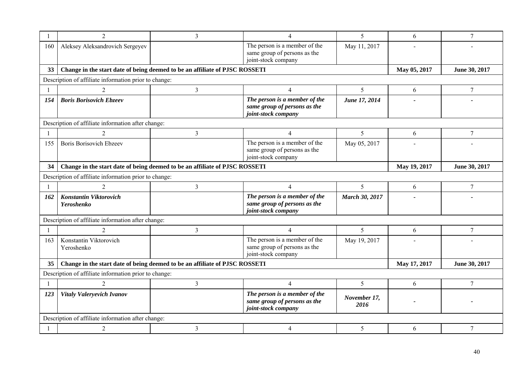|     | 2                                                                           | 3                                                                           | 4                                                                                    | 5                     | 6            | $\tau$         |
|-----|-----------------------------------------------------------------------------|-----------------------------------------------------------------------------|--------------------------------------------------------------------------------------|-----------------------|--------------|----------------|
| 160 | Aleksey Aleksandrovich Sergeyev                                             |                                                                             | The person is a member of the<br>same group of persons as the<br>joint-stock company | May 11, 2017          |              |                |
| 33  | Change in the start date of being deemed to be an affiliate of PJSC ROSSETI |                                                                             |                                                                                      |                       | May 05, 2017 | June 30, 2017  |
|     | Description of affiliate information prior to change:                       |                                                                             |                                                                                      |                       |              |                |
| -1  | $\overline{2}$                                                              | $\mathfrak{Z}$                                                              | $\overline{4}$                                                                       | 5                     | 6            | $\overline{7}$ |
| 154 | <b>Boris Borisovich Ebzeev</b>                                              |                                                                             | The person is a member of the<br>same group of persons as the<br>joint-stock company | June 17, 2014         |              |                |
|     | Description of affiliate information after change:                          |                                                                             |                                                                                      |                       |              |                |
|     | 2                                                                           | 3                                                                           | $\overline{4}$                                                                       | 5                     | 6            | 7              |
| 155 | <b>Boris Borisovich Ebzeev</b>                                              |                                                                             | The person is a member of the<br>same group of persons as the<br>joint-stock company | May 05, 2017          |              |                |
| 34  | Change in the start date of being deemed to be an affiliate of PJSC ROSSETI |                                                                             |                                                                                      |                       | May 19, 2017 | June 30, 2017  |
|     | Description of affiliate information prior to change:                       |                                                                             |                                                                                      |                       |              |                |
| -1  | $\mathfrak{D}$                                                              | 3                                                                           | $\overline{4}$                                                                       | 5                     | 6            | 7              |
| 162 | Konstantin Viktorovich<br>Yeroshenko                                        |                                                                             | The person is a member of the<br>same group of persons as the<br>joint-stock company | <b>March 30, 2017</b> |              |                |
|     | Description of affiliate information after change:                          |                                                                             |                                                                                      |                       |              |                |
|     | $\overline{2}$                                                              | 3                                                                           | $\overline{4}$                                                                       | 5                     | 6            | 7              |
| 163 | Konstantin Viktorovich<br>Yeroshenko                                        |                                                                             | The person is a member of the<br>same group of persons as the<br>joint-stock company | May 19, 2017          |              |                |
| 35  |                                                                             | Change in the start date of being deemed to be an affiliate of PJSC ROSSETI |                                                                                      |                       | May 17, 2017 | June 30, 2017  |
|     | Description of affiliate information prior to change:                       |                                                                             |                                                                                      |                       |              |                |
|     | 2                                                                           | 3                                                                           | $\overline{4}$                                                                       | 5                     | 6            | $\tau$         |
| 123 | Vitaly Valeryevich Ivanov                                                   |                                                                             | The person is a member of the<br>same group of persons as the<br>joint-stock company | November 17,<br>2016  |              |                |
|     | Description of affiliate information after change:                          |                                                                             |                                                                                      |                       |              |                |
| -1  | $\overline{2}$                                                              | 3                                                                           | 4                                                                                    | 5                     | 6            | 7              |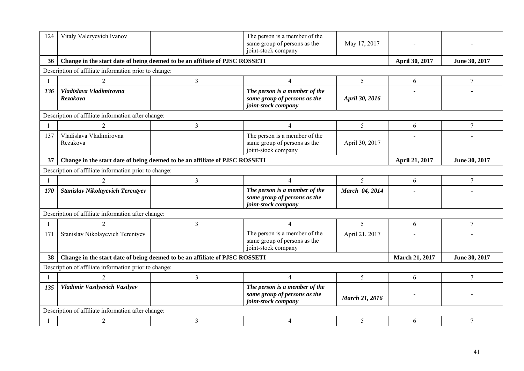| 124            | Vitaly Valeryevich Ivanov                             |                                                                             | The person is a member of the<br>same group of persons as the<br>joint-stock company | May 17, 2017          |                       |                 |
|----------------|-------------------------------------------------------|-----------------------------------------------------------------------------|--------------------------------------------------------------------------------------|-----------------------|-----------------------|-----------------|
| 36             |                                                       | Change in the start date of being deemed to be an affiliate of PJSC ROSSETI |                                                                                      |                       | April 30, 2017        | June 30, 2017   |
|                | Description of affiliate information prior to change: |                                                                             |                                                                                      |                       |                       |                 |
| $\overline{1}$ | $\mathcal{D}_{\mathcal{L}}$                           | 3                                                                           | $\overline{4}$                                                                       | 5                     | 6                     | $7\phantom{.0}$ |
| 136            | Vladislava Vladimirovna<br>Rezakova                   |                                                                             | The person is a member of the<br>same group of persons as the<br>joint-stock company | April 30, 2016        |                       |                 |
|                | Description of affiliate information after change:    |                                                                             |                                                                                      |                       |                       |                 |
| $\overline{1}$ | 2                                                     | 3                                                                           | $\overline{4}$                                                                       | 5                     | 6                     | 7               |
| 137            | Vladislava Vladimirovna<br>Rezakova                   |                                                                             | The person is a member of the<br>same group of persons as the<br>joint-stock company | April 30, 2017        |                       |                 |
| 37             |                                                       | Change in the start date of being deemed to be an affiliate of PJSC ROSSETI |                                                                                      |                       | April 21, 2017        | June 30, 2017   |
|                | Description of affiliate information prior to change: |                                                                             |                                                                                      |                       |                       |                 |
| -1             | 2                                                     | $\overline{3}$                                                              | $\overline{4}$                                                                       | 5                     | 6                     | 7               |
| 170            | Stanislav Nikolayevich Terentyev                      |                                                                             | The person is a member of the<br>same group of persons as the<br>joint-stock company | March 04, 2014        |                       |                 |
|                | Description of affiliate information after change:    |                                                                             |                                                                                      |                       |                       |                 |
| -1             |                                                       | $\overline{3}$                                                              | $\overline{4}$                                                                       | 5                     | 6                     | $\tau$          |
| 171            | Stanislav Nikolayevich Terentyev                      |                                                                             | The person is a member of the<br>same group of persons as the<br>joint-stock company | April 21, 2017        | $\overline{a}$        |                 |
| 38             |                                                       | Change in the start date of being deemed to be an affiliate of PJSC ROSSETI |                                                                                      |                       | <b>March 21, 2017</b> | June 30, 2017   |
|                | Description of affiliate information prior to change: |                                                                             |                                                                                      |                       |                       |                 |
| $\overline{1}$ | $\mathcal{D}_{\mathcal{L}}$                           | 3                                                                           | $\overline{4}$                                                                       | 5                     | 6                     | $\tau$          |
| 135            | Vladimir Vasilyevich Vasilyev                         |                                                                             | The person is a member of the<br>same group of persons as the<br>joint-stock company | <b>March 21, 2016</b> |                       |                 |
|                | Description of affiliate information after change:    |                                                                             |                                                                                      |                       |                       |                 |
| -1             | $\overline{2}$                                        | 3                                                                           | $\overline{4}$                                                                       | 5                     | 6                     | $\tau$          |